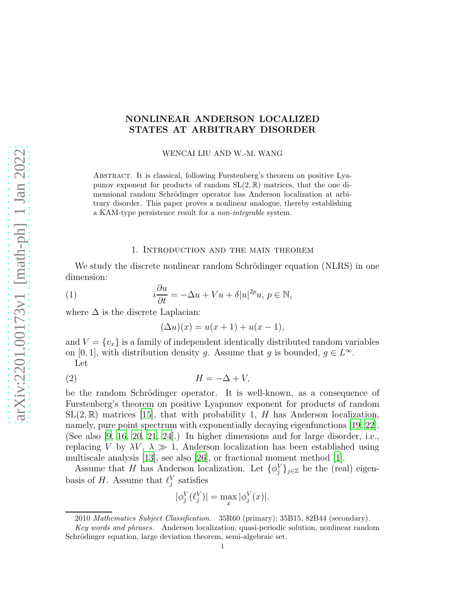### NONLINEAR ANDERSON LOCALIZED STATES AT ARBITRARY DISORDER

WENCAI LIU AND W.-M. WANG

Abstract. It is classical, following Furstenberg's theorem on positive Lyapunov exponent for products of random  $SL(2,\mathbb{R})$  matrices, that the one dimensional random Schrödinger operator has Anderson localization at arbitrary disorder. This paper proves a nonlinear analogue, thereby establishing a KAM-type persistence result for a non-integrable system.

#### 1. Introduction and the main theorem

We study the discrete nonlinear random Schrödinger equation (NLRS) in one dimension:

(1) 
$$
i\frac{\partial u}{\partial t} = -\Delta u + Vu + \delta |u|^{2p}u, \ p \in \mathbb{N},
$$

where  $\Delta$  is the discrete Laplacian:

<span id="page-0-1"></span><span id="page-0-0"></span>
$$
(\Delta u)(x) = u(x+1) + u(x-1),
$$

and  $V = \{v_x\}$  is a family of independent identically distributed random variables on [0, 1], with distribution density g. Assume that g is bounded,  $g \in L^{\infty}$ . Let

$$
(2) \t\t\t H = -\Delta + V,
$$

be the random Schrödinger operator. It is well-known, as a consequence of Furstenberg's theorem on positive Lyapunov exponent for products of random  $SL(2,\mathbb{R})$  matrices [\[15\]](#page-38-0), that with probability 1, H has Anderson localization, namely, pure point spectrum with exponentially decaying eigenfunctions [\[19,](#page-38-1) [22\]](#page-39-0). (See also [\[9](#page-38-2), [16,](#page-38-3) [20](#page-39-1), [21,](#page-39-2) [24](#page-39-3)].) In higher dimensions and for large disorder, i.e., replacing V by  $\lambda V$ ,  $\lambda \gg 1$ , Anderson localization has been established using multiscale analysis [\[13\]](#page-38-4), see also [\[26\]](#page-39-4), or fractional moment method [\[1\]](#page-37-0).

Assume that H has Anderson localization. Let  $\{\phi_j^V\}_{j\in\mathbb{Z}}$  be the (real) eigenbasis of H. Assume that  $\ell_j^V$  satisfies

$$
|\phi_j^V(\ell_j^V)| = \max_x |\phi_j^V(x)|.
$$

<sup>2010</sup> Mathematics Subject Classification. 35R60 (primary); 35B15, 82B44 (secondary).

Key words and phrases. Anderson localization, quasi-periodic solution, nonlinear random Schrödinger equation, large deviation theorem, semi-algebraic set.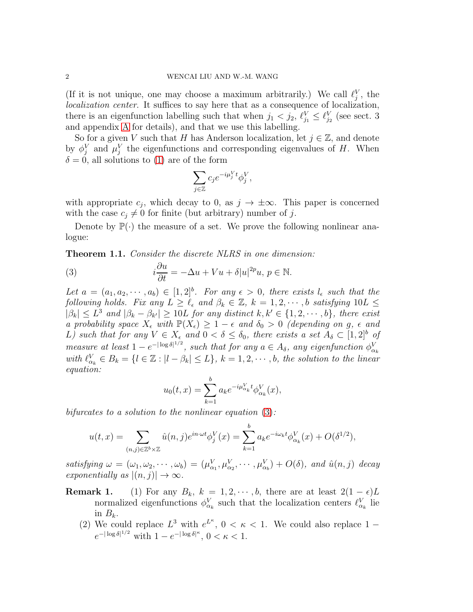(If it is not unique, one may choose a maximum arbitrarily.) We call  $\ell_j^V$ , the localization center. It suffices to say here that as a consequence of localization, there is an eigenfunction labelling such that when  $j_1 < j_2$ ,  $\ell_{j_1}^V \leq \ell_{j_2}^V$  (see sect. 3 and appendix [A](#page-34-0) for details), and that we use this labelling.

So for a given V such that H has Anderson localization, let  $j \in \mathbb{Z}$ , and denote by  $\phi_j^V$  and  $\mu_j^V$  the eigenfunctions and corresponding eigenvalues of H. When  $\delta = 0$ , all solutions to [\(1\)](#page-0-0) are of the form

$$
\sum_{j\in\mathbb{Z}}c_{j}e^{-i\mu_{j}^{V}t}\phi_{j}^{V},
$$

with appropriate  $c_j$ , which decay to 0, as  $j \to \pm \infty$ . This paper is concerned with the case  $c_i \neq 0$  for finite (but arbitrary) number of j.

Denote by  $\mathbb{P}(\cdot)$  the measure of a set. We prove the following nonlinear analogue:

<span id="page-1-1"></span>Theorem 1.1. Consider the discrete NLRS in one dimension:

<span id="page-1-0"></span>(3) 
$$
i\frac{\partial u}{\partial t} = -\Delta u + Vu + \delta |u|^{2p}u, \ p \in \mathbb{N}.
$$

Let  $a = (a_1, a_2, \dots, a_b) \in [1, 2]^b$ . For any  $\epsilon > 0$ , there exists  $l_{\epsilon}$  such that the following holds. Fix any  $L \geq \ell_{\epsilon}$  and  $\beta_k \in \mathbb{Z}$ ,  $k = 1, 2, \cdots, b$  satisfying  $10L \leq$  $|\beta_k| \leq L^3$  and  $|\beta_k - \beta_{k'}| \geq 10L$  for any distinct  $k, k' \in \{1, 2, \dots, b\}$ , there exist a probability space  $X_{\epsilon}$  with  $\mathbb{P}(X_{\epsilon}) \geq 1 - \epsilon$  and  $\delta_0 > 0$  (depending on g,  $\epsilon$  and L) such that for any  $V \in X_{\epsilon}$  and  $0 < \delta \leq \delta_0$ , there exists a set  $A_{\delta} \subset [1,2]^b$  of measure at least  $1 - e^{-|\log \delta|^{1/2}}$ , such that for any  $a \in A_{\delta}$ , any eigenfunction  $\phi_{\alpha_k}^V$ with  $\ell_{\alpha_k}^V \in B_k = \{l \in \mathbb{Z} : |l - \beta_k| \le L\}, k = 1, 2, \cdots, b$ , the solution to the linear equation:

$$
u_0(t,x) = \sum_{k=1}^{b} a_k e^{-i\mu_{\alpha_k}^V t} \phi_{\alpha_k}^V(x),
$$

bifurcates to a solution to the nonlinear equation  $(3)$ :

$$
u(t,x) = \sum_{(n,j)\in\mathbb{Z}^b\times\mathbb{Z}} \hat{u}(n,j)e^{in\cdot\omega t}\phi_j^V(x) = \sum_{k=1}^b a_k e^{-i\omega_k t}\phi_{\alpha_k}^V(x) + O(\delta^{1/2}),
$$

satisfying  $\omega = (\omega_1, \omega_2, \cdots, \omega_b) = (\mu_{\alpha_1}^V, \mu_{\alpha_2}^V, \cdots, \mu_{\alpha_b}^V) + O(\delta)$ , and  $\hat{u}(n, j)$  decay exponentially as  $|(n, j)| \rightarrow \infty$ .

- **Remark 1.** (1) For any  $B_k$ ,  $k = 1, 2, \dots, b$ , there are at least  $2(1 \epsilon)L$ normalized eigenfunctions  $\phi_{\alpha_k}^V$  such that the localization centers  $\ell_{\alpha_k}^V$  lie in  $B_k$ .
	- (2) We could replace  $L^3$  with  $e^{L^k}$ ,  $0 < \kappa < 1$ . We could also replace  $1$  $e^{-|\log \delta|^{1/2}}$  with  $1 - e^{-|\log \delta|^{\kappa}}, 0 < \kappa < 1$ .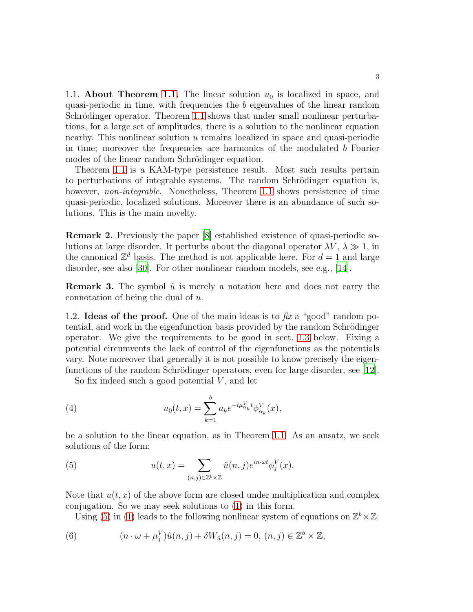1.1. **About Theorem [1.1.](#page-1-1)** The linear solution  $u_0$  is localized in space, and quasi-periodic in time, with frequencies the b eigenvalues of the linear random Schrödinger operator. Theorem [1.1](#page-1-1) shows that under small nonlinear perturbations, for a large set of amplitudes, there is a solution to the nonlinear equation nearby. This nonlinear solution u remains localized in space and quasi-periodic in time; moreover the frequencies are harmonics of the modulated  $b$  Fourier modes of the linear random Schrödinger equation.

Theorem [1.1](#page-1-1) is a KAM-type persistence result. Most such results pertain to perturbations of integrable systems. The random Schrödinger equation is, however, non-integrable. Nonetheless, Theorem [1.1](#page-1-1) shows persistence of time quasi-periodic, localized solutions. Moreover there is an abundance of such solutions. This is the main novelty.

Remark 2. Previously the paper [\[8](#page-38-5)] established existence of quasi-periodic solutions at large disorder. It perturbs about the diagonal operator  $\lambda V$ ,  $\lambda \gg 1$ , in the canonical  $\mathbb{Z}^d$  basis. The method is not applicable here. For  $d=1$  and large disorder, see also [\[30](#page-39-5)]. For other nonlinear random models, see e.g., [\[14](#page-38-6)].

**Remark 3.** The symbol  $\hat{u}$  is merely a notation here and does not carry the connotation of being the dual of u.

1.2. **Ideas of the proof.** One of the main ideas is to  $\hat{f}$  a "good" random potential, and work in the eigenfunction basis provided by the random Schrödinger operator. We give the requirements to be good in sect. [1.3](#page-3-0) below. Fixing a potential circumvents the lack of control of the eigenfunctions as the potentials vary. Note moreover that generally it is not possible to know precisely the eigenfunctions of the random Schrödinger operators, even for large disorder, see  $[12]$ .

<span id="page-2-2"></span>So fix indeed such a good potential  $V$ , and let

(4) 
$$
u_0(t,x) = \sum_{k=1}^b a_k e^{-i\mu_{\alpha_k}^V t} \phi_{\alpha_k}^V(x),
$$

be a solution to the linear equation, as in Theorem [1.1.](#page-1-1) As an ansatz, we seek solutions of the form:

<span id="page-2-0"></span>(5) 
$$
u(t,x) = \sum_{(n,j)\in\mathbb{Z}^b\times\mathbb{Z}} \hat{u}(n,j)e^{in\cdot\omega t}\phi_j^V(x).
$$

Note that  $u(t, x)$  of the above form are closed under multiplication and complex conjugation. So we may seek solutions to [\(1\)](#page-0-0) in this form.

<span id="page-2-1"></span>Using [\(5\)](#page-2-0) in [\(1\)](#page-0-0) leads to the following nonlinear system of equations on  $\mathbb{Z}^b \times \mathbb{Z}$ :

(6) 
$$
(n \cdot \omega + \mu_j^V)\hat{u}(n,j) + \delta W_{\hat{u}}(n,j) = 0, (n,j) \in \mathbb{Z}^b \times \mathbb{Z},
$$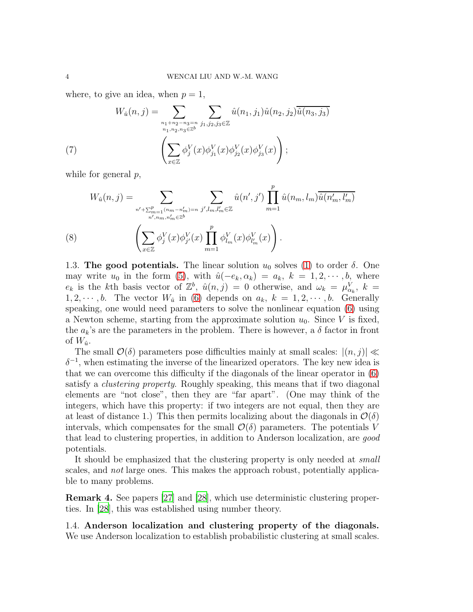where, to give an idea, when  $p = 1$ ,

(7) 
$$
W_{\hat{u}}(n,j) = \sum_{\substack{n_1+n_2-n_3=n\\n_1,n_2,n_3 \in \mathbb{Z}^b}} \sum_{j_1,j_2,j_3 \in \mathbb{Z}} \hat{u}(n_1,j_1)\hat{u}(n_2,j_2)\overline{\hat{u}(n_3,j_3)}
$$

$$
\left(\sum_{x \in \mathbb{Z}} \phi_j^V(x)\phi_{j_1}^V(x)\phi_{j_2}^V(x)\phi_{j_3}^V(x)\right);
$$

while for general  $p$ ,

$$
W_{\hat{u}}(n,j) = \sum_{\substack{n' + \sum_{m=1}^{p} (n_m - n'_m) = n \\ n', n_m, n'_m \in \mathbb{Z}^b}} \sum_{j', l_m, l'_m \in \mathbb{Z}} \hat{u}(n', j') \prod_{m=1}^{p} \hat{u}(n_m, l_m) \overline{\hat{u}(n'_m, l'_m)}
$$
\n
$$
(8) \qquad \left( \sum_{x \in \mathbb{Z}} \phi_j^V(x) \phi_{j'}^V(x) \prod_{m=1}^{p} \phi_{l_m}^V(x) \phi_{l'_m}^V(x) \right).
$$

<span id="page-3-1"></span><span id="page-3-0"></span>1.3. The good potentials. The linear solution  $u_0$  solves [\(1\)](#page-0-0) to order  $\delta$ . One may write  $u_0$  in the form [\(5\)](#page-2-0), with  $\hat{u}(-e_k, \alpha_k) = a_k, k = 1, 2, \cdots, b$ , where  $e_k$  is the kth basis vector of  $\mathbb{Z}^b$ ,  $\hat{u}(n,j) = 0$  otherwise, and  $\omega_k = \mu_{\alpha_k}^V$ ,  $k =$  $1, 2, \dots, b$ . The vector  $W_{\hat{u}}$  in [\(6\)](#page-2-1) depends on  $a_k$ ,  $k = 1, 2, \dots, b$ . Generally speaking, one would need parameters to solve the nonlinear equation [\(6\)](#page-2-1) using a Newton scheme, starting from the approximate solution  $u_0$ . Since V is fixed, the  $a_k$ 's are the parameters in the problem. There is however, a  $\delta$  factor in front of  $W_{\hat{u}}$ .

The small  $\mathcal{O}(\delta)$  parameters pose difficulties mainly at small scales:  $|(n, j)| \ll$  $\delta^{-1}$ , when estimating the inverse of the linearized operators. The key new idea is that we can overcome this difficulty if the diagonals of the linear operator in [\(6\)](#page-2-1) satisfy a clustering property. Roughly speaking, this means that if two diagonal elements are "not close", then they are "far apart". (One may think of the integers, which have this property: if two integers are not equal, then they are at least of distance 1.) This then permits localizing about the diagonals in  $\mathcal{O}(\delta)$ intervals, which compensates for the small  $\mathcal{O}(\delta)$  parameters. The potentials V that lead to clustering properties, in addition to Anderson localization, are good potentials.

It should be emphasized that the clustering property is only needed at small scales, and not large ones. This makes the approach robust, potentially applicable to many problems.

Remark 4. See papers [\[27](#page-39-6)] and [\[28\]](#page-39-7), which use deterministic clustering properties. In [\[28\]](#page-39-7), this was established using number theory.

1.4. Anderson localization and clustering property of the diagonals. We use Anderson localization to establish probabilistic clustering at small scales.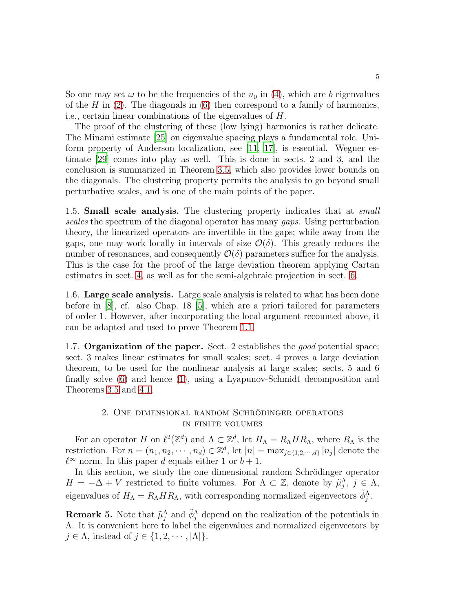So one may set  $\omega$  to be the frequencies of the  $u_0$  in [\(4\)](#page-2-2), which are b eigenvalues of the H in  $(2)$ . The diagonals in  $(6)$  then correspond to a family of harmonics, i.e., certain linear combinations of the eigenvalues of H.

The proof of the clustering of these (low lying) harmonics is rather delicate. The Minami estimate [\[25\]](#page-39-8) on eigenvalue spacing plays a fundamental role. Uniform property of Anderson localization, see [\[11,](#page-38-8) [17\]](#page-38-9), is essential. Wegner estimate [\[29](#page-39-9)] comes into play as well. This is done in sects. 2 and 3, and the conclusion is summarized in Theorem [3.5,](#page-15-0) which also provides lower bounds on the diagonals. The clustering property permits the analysis to go beyond small perturbative scales, and is one of the main points of the paper.

1.5. **Small scale analysis.** The clustering property indicates that at *small* scales the spectrum of the diagonal operator has many *gaps*. Using perturbation theory, the linearized operators are invertible in the gaps; while away from the gaps, one may work locally in intervals of size  $\mathcal{O}(\delta)$ . This greatly reduces the number of resonances, and consequently  $\mathcal{O}(\delta)$  parameters suffice for the analysis. This is the case for the proof of the large deviation theorem applying Cartan estimates in sect. [4,](#page-17-0) as well as for the semi-algebraic projection in sect. [6.](#page-29-0)

1.6. Large scale analysis. Large scale analysis is related to what has been done before in [\[8\]](#page-38-5), cf. also Chap. 18 [\[5\]](#page-38-10), which are a priori tailored for parameters of order 1. However, after incorporating the local argument recounted above, it can be adapted and used to prove Theorem [1.1.](#page-1-1)

1.7. Organization of the paper. Sect. 2 establishes the good potential space; sect. 3 makes linear estimates for small scales; sect. 4 proves a large deviation theorem, to be used for the nonlinear analysis at large scales; sects. 5 and 6 finally solve [\(6\)](#page-2-1) and hence [\(1\)](#page-0-0), using a Lyapunov-Schmidt decomposition and Theorems [3.5](#page-15-0) and [4.1.](#page-18-0)

## 2. ONE DIMENSIONAL RANDOM SCHRÖDINGER OPERATORS in finite volumes

For an operator H on  $\ell^2(\mathbb{Z}^d)$  and  $\Lambda \subset \mathbb{Z}^d$ , let  $H_{\Lambda} = R_{\Lambda} H R_{\Lambda}$ , where  $R_{\Lambda}$  is the restriction. For  $n = (n_1, n_2, \cdots, n_d) \in \mathbb{Z}^d$ , let  $|n| = \max_{j \in \{1, 2, \cdots, d\}} |n_j|$  denote the  $\ell^{\infty}$  norm. In this paper d equals either 1 or  $b+1$ .

In this section, we study the one dimensional random Schrödinger operator  $H = -\Delta + V$  restricted to finite volumes. For  $\Lambda \subset \mathbb{Z}$ , denote by  $\tilde{\mu}_j^{\Lambda}, j \in \Lambda$ , eigenvalues of  $H_{\Lambda} = R_{\Lambda} H R_{\Lambda}$ , with corresponding normalized eigenvectors  $\tilde{\phi}_j^{\Lambda}$ .

**Remark 5.** Note that  $\tilde{\mu}_j^{\Lambda}$  and  $\tilde{\phi}_j^{\Lambda}$  depend on the realization of the potentials in Λ. It is convenient here to label the eigenvalues and normalized eigenvectors by  $j \in \Lambda$ , instead of  $j \in \{1, 2, \dots, |\Lambda|\}.$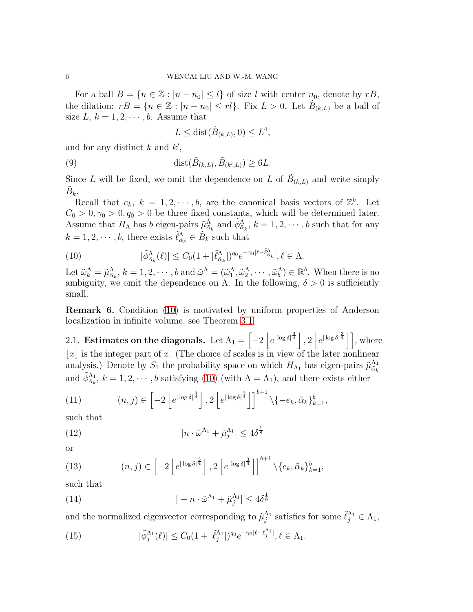For a ball  $B = \{n \in \mathbb{Z} : |n - n_0| \leq l\}$  of size l with center  $n_0$ , denote by  $rB$ , the dilation:  $rB = \{n \in \mathbb{Z} : |n - n_0| \leq r l\}$ . Fix  $L > 0$ . Let  $\tilde{B}_{(k,L)}$  be a ball of size  $L, k = 1, 2, \dots, b$ . Assume that

<span id="page-5-6"></span>
$$
L \leq \text{dist}(\tilde{B}_{(k,L)}, 0) \leq L^4,
$$

and for any distinct  $k$  and  $k'$ ,

(9) 
$$
\operatorname{dist}(\tilde{B}_{(k,L)}, \tilde{B}_{(k',L)}) \geq 6L.
$$

Since L will be fixed, we omit the dependence on L of  $\tilde{B}_{(k,L)}$  and write simply  $\tilde{B}_k$ .

Recall that  $e_k$ ,  $k = 1, 2, \dots, b$ , are the canonical basis vectors of  $\mathbb{Z}^b$ . Let  $C_0 > 0, \gamma_0 > 0, q_0 > 0$  be three fixed constants, which will be determined later. Assume that  $H_{\Lambda}$  has b eigen-pairs  $\tilde{\mu}_{\tilde{\alpha}_k}^{\Lambda}$  and  $\tilde{\phi}_{\tilde{\alpha}_k}^{\Lambda}$ ,  $k = 1, 2, \cdots, b$  such that for any  $k = 1, 2, \dots, b$ , there exists  $\tilde{\ell}_{\tilde{\alpha}_k}^{\Lambda} \in \tilde{B}_k$  such that

<span id="page-5-0"></span>(10) 
$$
|\tilde{\phi}_{\tilde{\alpha}_k}^{\Lambda}(\ell)| \leq C_0 (1 + |\tilde{\ell}_{\tilde{\alpha}_k}^{\Lambda}|)^{q_0} e^{-\gamma_0 |\ell - \tilde{\ell}_{\tilde{\alpha}_k}^{\Lambda}|}, \ell \in \Lambda.
$$

Let  $\tilde{\omega}_k^{\Lambda} = \tilde{\mu}_{\tilde{\alpha}_k}^{\Lambda}, k = 1, 2, \cdots, b$  and  $\tilde{\omega}^{\Lambda} = (\tilde{\omega}_1^{\Lambda}, \tilde{\omega}_2^{\Lambda}, \cdots, \tilde{\omega}_b^{\Lambda}) \in \mathbb{R}^b$ . When there is no ambiguity, we omit the dependence on  $\Lambda$ . In the following,  $\delta > 0$  is sufficiently small.

Remark 6. Condition [\(10\)](#page-5-0) is motivated by uniform properties of Anderson localization in infinite volume, see Theorem [3.1.](#page-13-0)

2.1. Estimates on the diagonals. Let  $\Lambda_1 = \left[ -2 \left| e^{|\log \delta|^{\frac{3}{4}}}\right|, 2 \left| e^{|\log \delta|^{\frac{3}{4}}}\right| \right]$ , where  $|x|$  is the integer part of x. (The choice of scales is in view of the later nonlinear analysis.) Denote by  $S_1$  the probability space on which  $H_{\Lambda_1}$  has eigen-pairs  $\tilde{\mu}_{\tilde{\alpha}_k}^{\Lambda_1}$  $\tilde{\alpha}_k$ and  $\tilde{\phi}_{\tilde{\alpha}_k}^{\Lambda_1}$ ,  $k = 1, 2, \cdots, b$  satisfying [\(10\)](#page-5-0) (with  $\Lambda = \Lambda_1$ ), and there exists either

<span id="page-5-1"></span>(11) 
$$
(n,j) \in \left[-2\left[e^{|\log \delta|^{\frac{3}{4}}}\right], 2\left[e^{|\log \delta|^{\frac{3}{4}}}\right]\right]^{b+1} \setminus \{-e_k, \tilde{\alpha}_k\}_{k=1}^b,
$$

such that

<span id="page-5-3"></span>(12) 
$$
|n \cdot \tilde{\omega}^{\Lambda_1} + \tilde{\mu}_j^{\Lambda_1}| \leq 4\delta^{\frac{1}{8}}
$$

or

<span id="page-5-2"></span>(13) 
$$
(n,j) \in \left[-2\left[e^{|\log \delta|^{\frac{3}{4}}}\right], 2\left[e^{|\log \delta|^{\frac{3}{4}}}\right]\right]^{b+1} \setminus \{e_k, \tilde{\alpha}_k\}_{k=1}^b,
$$

such that

<span id="page-5-4"></span>(14) 
$$
|-n \cdot \tilde{\omega}^{\Lambda_1} + \tilde{\mu}_j^{\Lambda_1}| \leq 4\delta^{\frac{1}{8}}
$$

and the normalized eigenvector corresponding to  $\tilde{\mu}_j^{\Lambda_1}$  satisfies for some  $\tilde{\ell}_j^{\Lambda_1} \in \Lambda_1$ ,

<span id="page-5-5"></span>(15) 
$$
|\tilde{\phi}_j^{\Lambda_1}(\ell)| \leq C_0 (1 + |\tilde{\ell}_j^{\Lambda_1}|)^{q_0} e^{-\gamma_0 |\ell - \tilde{\ell}_j^{\Lambda_1}|}, \ell \in \Lambda_1.
$$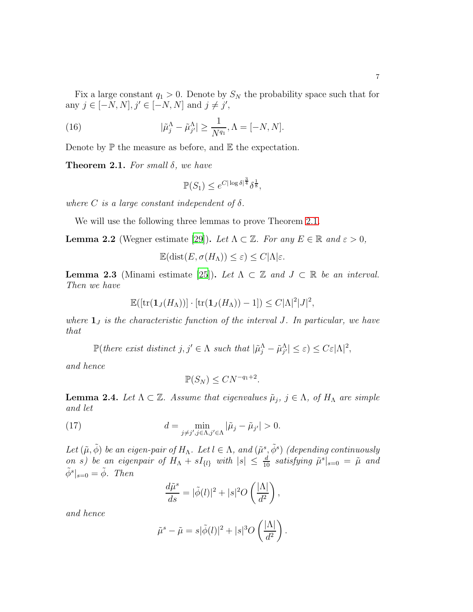Fix a large constant  $q_1 > 0$ . Denote by  $S_N$  the probability space such that for any  $j \in [-N, N], j' \in [-N, N]$  and  $j \neq j'$ ,

(16) 
$$
|\tilde{\mu}_j^{\Lambda} - \tilde{\mu}_{j'}^{\Lambda}| \ge \frac{1}{N^{q_1}}, \Lambda = [-N, N].
$$

Denote by  $\mathbb P$  the measure as before, and  $\mathbb E$  the expectation.

<span id="page-6-0"></span>**Theorem 2.1.** For small  $\delta$ , we have

<span id="page-6-3"></span>
$$
\mathbb{P}(S_1) \le e^{C|\log \delta|^{\frac{3}{4}}} \delta^{\frac{1}{8}},
$$

where C is a large constant independent of  $\delta$ .

We will use the following three lemmas to prove Theorem [2.1.](#page-6-0)

<span id="page-6-5"></span>**Lemma 2.2** (Wegner estimate [\[29\]](#page-39-9)). Let  $\Lambda \subset \mathbb{Z}$ . For any  $E \in \mathbb{R}$  and  $\varepsilon > 0$ ,

$$
\mathbb{E}(\text{dist}(E, \sigma(H_{\Lambda})) \le \varepsilon) \le C|\Lambda|\varepsilon.
$$

<span id="page-6-2"></span>**Lemma 2.3** (Minami estimate [\[25](#page-39-8)]). Let  $\Lambda \subset \mathbb{Z}$  and  $J \subset \mathbb{R}$  be an interval. Then we have

$$
\mathbb{E}([tr(\mathbf{1}_{J}(H_{\Lambda}))]\cdot [tr(\mathbf{1}_{J}(H_{\Lambda}))-1])\leq C|\Lambda|^{2}|J|^{2},
$$

where  $\mathbf{1}_J$  is the characteristic function of the interval J. In particular, we have that

 $\mathbb{P}(\text{there exist distinct } j, j' \in \Lambda \text{ such that } |\tilde{\mu}_j^{\Lambda} - \tilde{\mu}_{j'}^{\Lambda}| \leq \varepsilon) \leq C \varepsilon |\Lambda|^2,$ 

and hence

<span id="page-6-1"></span>
$$
\mathbb{P}(S_N) \leq CN^{-q_1+2}.
$$

<span id="page-6-4"></span>**Lemma 2.4.** Let  $\Lambda \subset \mathbb{Z}$ . Assume that eigenvalues  $\tilde{\mu}_j$ ,  $j \in \Lambda$ , of  $H_{\Lambda}$  are simple and let

(17) 
$$
d = \min_{j \neq j', j \in \Lambda, j' \in \Lambda} |\tilde{\mu}_j - \tilde{\mu}_{j'}| > 0.
$$

Let  $(\tilde{\mu}, \tilde{\phi})$  be an eigen-pair of  $H_{\Lambda}$ . Let  $l \in \Lambda$ , and  $(\tilde{\mu}^s, \tilde{\phi}^s)$  (depending continuously on s) be an eigenpair of  $H_{\Lambda} + sI_{\{l\}}$  with  $|s| \leq \frac{d}{10}$  satisfying  $\tilde{\mu}^{s}|_{s=0} = \tilde{\mu}$  and  $\tilde{\phi}^s|_{s=0} = \tilde{\phi}$ . Then

$$
\frac{d\tilde{\mu}^s}{ds} = |\tilde{\phi}(l)|^2 + |s|^2 O\left(\frac{|\Lambda|}{d^2}\right),
$$

and hence

$$
\tilde{\mu}^s - \tilde{\mu} = s|\tilde{\phi}(l)|^2 + |s|^3 O\left(\frac{|\Lambda|}{d^2}\right).
$$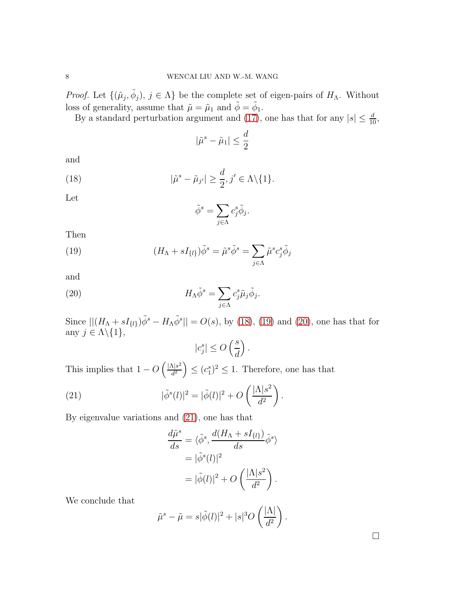*Proof.* Let  $\{(\tilde{\mu}_j, \tilde{\phi}_j), j \in \Lambda\}$  be the complete set of eigen-pairs of  $H_{\Lambda}$ . Without loss of generality, assume that  $\tilde{\mu} = \tilde{\mu}_1$  and  $\tilde{\phi} = \tilde{\phi}_1$ .

By a standard perturbation argument and [\(17\)](#page-6-1), one has that for any  $|s| \leq \frac{d}{10}$ ,

$$
|\tilde{\mu}^s - \tilde{\mu}_1| \le \frac{d}{2}
$$

and

(18) 
$$
|\tilde{\mu}^s - \tilde{\mu}_{j'}| \geq \frac{d}{2}, j' \in \Lambda \setminus \{1\}.
$$

Let

<span id="page-7-1"></span><span id="page-7-0"></span>
$$
\tilde{\phi}^s = \sum_{j \in \Lambda} c_j^s \tilde{\phi}_j.
$$

Then

(19) 
$$
(H_{\Lambda} + sI_{\{l\}})\tilde{\phi}^{s} = \tilde{\mu}^{s}\tilde{\phi}^{s} = \sum_{j \in \Lambda} \tilde{\mu}^{s} c_{j}^{s} \tilde{\phi}_{j}
$$

and

(20) 
$$
H_{\Lambda}\tilde{\phi}^s = \sum_{j\in\Lambda} c_j^s \tilde{\mu}_j \tilde{\phi}_j.
$$

Since  $||(H_{\Lambda} + sI_{\{l\}})\tilde{\phi}^{s} - H_{\Lambda}\tilde{\phi}^{s}|| = O(s)$ , by [\(18\)](#page-7-0), [\(19\)](#page-7-1) and [\(20\)](#page-7-2), one has that for any  $j \in \Lambda \backslash \{1\},\$ 

<span id="page-7-2"></span>
$$
|c_j^s| \le O\left(\frac{s}{d}\right).
$$

This implies that  $1 - O\left(\frac{|\Lambda|s^2}{d^2}\right)$  $\left(\frac{\Delta |s^2}{d^2}\right) \leq (c_1^s)^2 \leq 1$ . Therefore, one has that

(21) 
$$
|\tilde{\phi}^s(l)|^2 = |\tilde{\phi}(l)|^2 + O\left(\frac{|\Lambda|s^2}{d^2}\right).
$$

By eigenvalue variations and [\(21\)](#page-7-3), one has that

<span id="page-7-3"></span>
$$
\frac{d\tilde{\mu}^s}{ds} = \langle \tilde{\phi}^s, \frac{d(H_{\Lambda} + sI_{\{l\}})}{ds} \tilde{\phi}^s \rangle
$$

$$
= |\tilde{\phi}^s(l)|^2
$$

$$
= |\tilde{\phi}(l)|^2 + O\left(\frac{|\Lambda|s^2}{d^2}\right).
$$

We conclude that

$$
\tilde{\mu}^s - \tilde{\mu} = s|\tilde{\phi}(l)|^2 + |s|^3 O\left(\frac{|\Lambda|}{d^2}\right).
$$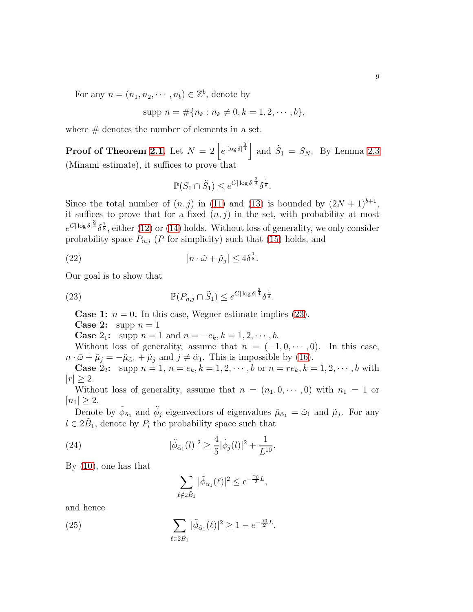For any  $n = (n_1, n_2, \dots, n_b) \in \mathbb{Z}^b$ , denote by

$$
supp n = #{nk : nk \neq 0, k = 1, 2, \cdots, b},
$$

where  $#$  denotes the number of elements in a set.

**Proof of Theorem [2.1.](#page-6-0)** Let  $N = 2 \left| e^{|\log \delta|^{\frac{3}{4}}}\right|$  and  $\tilde{S}_1 = S_N$ . By Lemma [2.3](#page-6-2) (Minami estimate), it suffices to prove that

<span id="page-8-3"></span>
$$
\mathbb{P}(S_1 \cap \tilde{S}_1) \leq e^{C |\log \delta|^{\frac{3}{4}}} \delta^{\frac{1}{8}}.
$$

Since the total number of  $(n, j)$  in [\(11\)](#page-5-1) and [\(13\)](#page-5-2) is bounded by  $(2N + 1)^{b+1}$ , it suffices to prove that for a fixed  $(n, j)$  in the set, with probability at most  $e^{C|\log \delta|^{\frac{3}{4}}\delta^{\frac{1}{8}}}$ , either [\(12\)](#page-5-3) or [\(14\)](#page-5-4) holds. Without loss of generality, we only consider probability space  $P_{n,j}$  (P for simplicity) such that [\(15\)](#page-5-5) holds, and

(22) 
$$
|n \cdot \tilde{\omega} + \tilde{\mu}_j| \le 4\delta^{\frac{1}{8}}.
$$

Our goal is to show that

(23) 
$$
\mathbb{P}(P_{n,j} \cap \tilde{S}_1) \leq e^{C |\log \delta|^{\frac{3}{4}} \delta^{\frac{1}{8}}}.
$$

<span id="page-8-0"></span>**Case 1:**  $n = 0$ . In this case, Wegner estimate implies [\(23\)](#page-8-0).

**Case 2:** supp  $n = 1$ 

**Case** 2<sub>1</sub>: supp  $n = 1$  and  $n = -e_k, k = 1, 2, \dots, b$ .

Without loss of generality, assume that  $n = (-1, 0, \dots, 0)$ . In this case,  $n \cdot \tilde{\omega} + \tilde{\mu}_j = -\tilde{\mu}_{\tilde{\alpha}_1} + \tilde{\mu}_j$  and  $j \neq \tilde{\alpha}_1$ . This is impossible by [\(16\)](#page-6-3).

**Case** 2<sub>2</sub>: supp  $n = 1$ ,  $n = e_k$ ,  $k = 1, 2, \dots, b$  or  $n = re_k$ ,  $k = 1, 2, \dots, b$  with  $|r| \geq 2$ .

Without loss of generality, assume that  $n = (n_1, 0, \dots, 0)$  with  $n_1 = 1$  or  $|n_1| \geq 2$ .

Denote by  $\tilde{\phi}_{\tilde{\alpha}_1}$  and  $\tilde{\phi}_j$  eigenvectors of eigenvalues  $\tilde{\mu}_{\tilde{\alpha}_1} = \tilde{\omega}_1$  and  $\tilde{\mu}_j$ . For any  $l \in 2\tilde{B}_1$ , denote by  $P_l$  the probability space such that

(24) 
$$
|\tilde{\phi}_{\tilde{\alpha}_1}(l)|^2 \geq \frac{4}{5} |\tilde{\phi}_j(l)|^2 + \frac{1}{L^{10}}.
$$

By [\(10\)](#page-5-0), one has that

<span id="page-8-2"></span><span id="page-8-1"></span>
$$
\sum_{\ell \notin 2\tilde{B}_1} |\tilde{\phi}_{\tilde{\alpha}_1}(\ell)|^2 \le e^{-\frac{\gamma_0}{2}L},
$$

and hence

(25) 
$$
\sum_{\ell \in 2\tilde{B}_1} |\tilde{\phi}_{\tilde{\alpha}_1}(\ell)|^2 \ge 1 - e^{-\frac{\gamma_0}{2}L}.
$$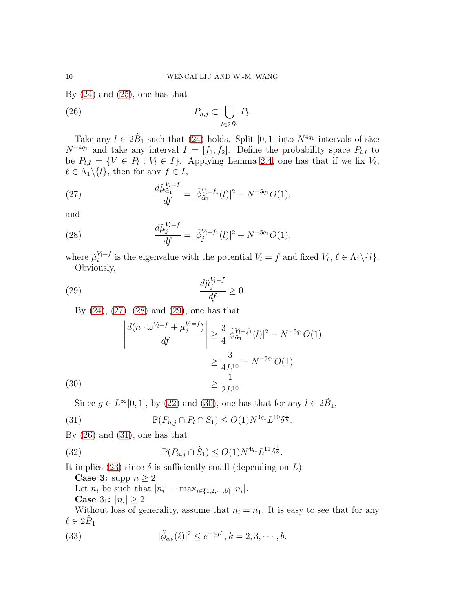By  $(24)$  and  $(25)$ , one has that

<span id="page-9-4"></span>(26) 
$$
P_{n,j} \subset \bigcup_{l \in 2\tilde{B}_1} P_l.
$$

Take any  $l \in 2B_1$  such that [\(24\)](#page-8-1) holds. Split [0, 1] into  $N^{4q_1}$  intervals of size  $N^{-4q_1}$  and take any interval  $I = [f_1, f_2]$ . Define the probability space  $P_{l,I}$  to be  $P_{l,I} = \{V \in P_l : V_l \in I\}$ . Applying Lemma [2.4,](#page-6-4) one has that if we fix  $V_{\ell}$ ,  $\ell \in \Lambda_1 \backslash \{l\}$ , then for any  $f \in I$ ,

<span id="page-9-0"></span>(27) 
$$
\frac{d\tilde{\mu}_{\tilde{\alpha}_1}^{V_l=f}}{df} = |\tilde{\phi}_{\tilde{\alpha}_1}^{V_l=f_1}(l)|^2 + N^{-5q_1}O(1),
$$

and

<span id="page-9-1"></span>(28) 
$$
\frac{d\tilde{\mu}_j^{V_l=f}}{df} = |\tilde{\phi}_j^{V_l=f_1}(l)|^2 + N^{-5q_1}O(1),
$$

where  $\tilde{\mu}_i^{V_l=f}$  is the eigenvalue with the potential  $V_l = f$  and fixed  $V_{\ell}, \ell \in \Lambda_1 \setminus \{l\}.$ Obviously,

(29) 
$$
\frac{d\tilde{\mu}_j^{V_i=f}}{df} \ge 0.
$$

<span id="page-9-2"></span>By [\(24\)](#page-8-1), [\(27\)](#page-9-0), [\(28\)](#page-9-1) and [\(29\)](#page-9-2), one has that

$$
\left| \frac{d(n \cdot \tilde{\omega}^{V_l=f} + \tilde{\mu}_j^{V_l=f})}{df} \right| \ge \frac{3}{4} |\tilde{\phi}_{\tilde{\alpha}_1}^{V_l=f_1}(l)|^2 - N^{-5q_1}O(1) \ge \frac{3}{4L^{10}} - N^{-5q_1}O(1) \ge \frac{1}{2L^{10}}.
$$

<span id="page-9-5"></span><span id="page-9-3"></span>Since  $g \in L^{\infty}[0,1]$ , by [\(22\)](#page-8-3) and [\(30\)](#page-9-3), one has that for any  $l \in 2\tilde{B}_1$ ,

(31) 
$$
\mathbb{P}(P_{n,j} \cap P_l \cap \tilde{S}_1) \leq O(1)N^{4q_1}L^{10}\delta^{\frac{1}{8}}.
$$

By  $(26)$  and  $(31)$ , one has that

(32) 
$$
\mathbb{P}(P_{n,j} \cap \tilde{S}_1) \leq O(1)N^{4q_1}L^{11}\delta^{\frac{1}{8}}.
$$

It implies [\(23\)](#page-8-0) since  $\delta$  is sufficiently small (depending on L).

**Case 3:** supp  $n \geq 2$ 

Let  $n_i$  be such that  $|n_i| = \max_{i \in \{1, 2, \dots, b\}} |n_i|$ .

<span id="page-9-6"></span>**Case**  $3_1$ :  $|n_i| \ge 2$ 

Without loss of generality, assume that  $n_i = n_1$ . It is easy to see that for any  $\ell \in 2\tilde{B}_1$ 

(33) 
$$
|\tilde{\phi}_{\tilde{\alpha}_k}(\ell)|^2 \leq e^{-\gamma_0 L}, k = 2, 3, \cdots, b.
$$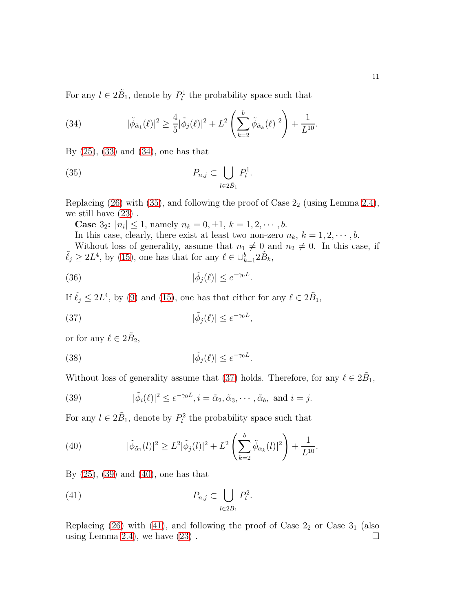For any  $l \in 2\tilde{B}_1$ , denote by  $P_l^1$  the probability space such that

<span id="page-10-0"></span>(34) 
$$
|\tilde{\phi}_{\tilde{\alpha}_{1}}(\ell)|^{2} \geq \frac{4}{5}|\tilde{\phi}_{j}(\ell)|^{2} + L^{2}\left(\sum_{k=2}^{b} \tilde{\phi}_{\tilde{\alpha}_{k}}(\ell)|^{2}\right) + \frac{1}{L^{10}}.
$$

By [\(25\)](#page-8-2), [\(33\)](#page-9-6) and [\(34\)](#page-10-0), one has that

(35) 
$$
P_{n,j} \subset \bigcup_{l \in 2\tilde{B}_1} P_l^1.
$$

Replacing  $(26)$  with  $(35)$ , and following the proof of Case  $2<sub>2</sub>$  (using Lemma [2.4\)](#page-6-4), we still have [\(23\)](#page-8-0) .

**Case**  $3_2$ :  $|n_i| \leq 1$ , namely  $n_k = 0, \pm 1, k = 1, 2, \dots, b$ .

In this case, clearly, there exist at least two non-zero  $n_k$ ,  $k = 1, 2, \dots, b$ . Without loss of generality, assume that  $n_1 \neq 0$  and  $n_2 \neq 0$ . In this case, if  $\tilde{\ell}_j \geq 2L^4$ , by [\(15\)](#page-5-5), one has that for any  $\ell \in \cup_{k=1}^b 2\tilde{B}_k$ ,

<span id="page-10-1"></span>.

<span id="page-10-2"></span>,

(36) 
$$
|\tilde{\phi}_j(\ell)| \leq e^{-\gamma_0 L}
$$

If  $\tilde{\ell}_j \leq 2L^4$ , by [\(9\)](#page-5-6) and [\(15\)](#page-5-5), one has that either for any  $\ell \in 2\tilde{B}_1$ ,

(37) 
$$
|\tilde{\phi}_j(\ell)| \le e^{-\gamma_0 L}
$$

or for any  $\ell \in 2\tilde{B}_2$ ,

(38) 
$$
|\tilde{\phi}_j(\ell)| \leq e^{-\gamma_0 L}.
$$

Without loss of generality assume that [\(37\)](#page-10-2) holds. Therefore, for any  $\ell \in 2\tilde{B}_1$ ,

<span id="page-10-3"></span>(39) 
$$
|\tilde{\phi}_i(\ell)|^2 \le e^{-\gamma_0 L}, i = \tilde{\alpha}_2, \tilde{\alpha}_3, \cdots, \tilde{\alpha}_b, \text{ and } i = j.
$$

For any  $l \in 2\tilde{B}_1$ , denote by  $P_l^2$  the probability space such that

<span id="page-10-4"></span>(40) 
$$
|\tilde{\phi}_{\tilde{\alpha}_1}(l)|^2 \ge L^2 |\tilde{\phi}_j(l)|^2 + L^2 \left( \sum_{k=2}^b \tilde{\phi}_{\alpha_k}(l)|^2 \right) + \frac{1}{L^{10}}.
$$

By [\(25\)](#page-8-2), [\(39\)](#page-10-3) and [\(40\)](#page-10-4), one has that

<span id="page-10-5"></span>(41) 
$$
P_{n,j} \subset \bigcup_{l \in 2\tilde{B}_1} P_l^2.
$$

Replacing [\(26\)](#page-9-4) with [\(41\)](#page-10-5), and following the proof of Case  $2<sub>2</sub>$  or Case  $3<sub>1</sub>$  (also using Lemma [2.4\)](#page-6-4), we have  $(23)$ .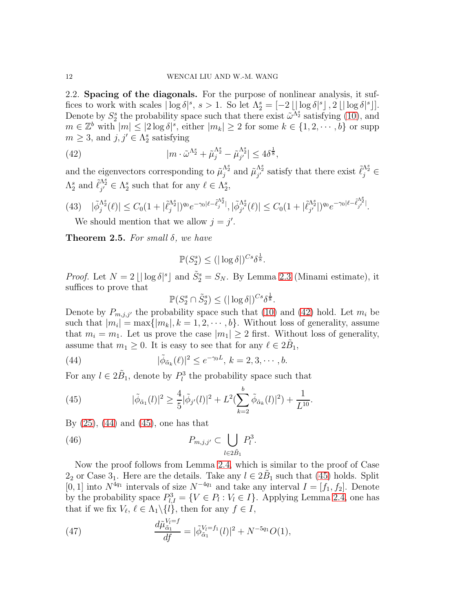2.2. Spacing of the diagonals. For the purpose of nonlinear analysis, it suffices to work with scales  $\lfloor \log \delta \rfloor^s$ ,  $s > 1$ . So let  $\Lambda_2^s = \lfloor -2 \lfloor \lfloor \log \delta \rfloor^s \rfloor$ ,  $2 \lfloor \lfloor \log \delta \rfloor^s \rfloor$ . Denote by  $S_2^s$  the probability space such that there exist  $\tilde{\omega}^{\tilde{\Lambda}_2^s}$  satisfying [\(10\)](#page-5-0), and  $m \in \mathbb{Z}^b$  with  $|m| \leq |2 \log \delta|^s$ , either  $|m_k| \geq 2$  for some  $k \in \{1, 2, \cdots, b\}$  or supp  $m \geq 3$ , and  $j, j' \in \Lambda_2^s$  satisfying

<span id="page-11-0"></span>(42) 
$$
|m \cdot \tilde{\omega}^{\Lambda_2^s} + \tilde{\mu}_j^{\Lambda_2^s} - \tilde{\mu}_{j'}^{\Lambda_2^s}| \leq 4\delta^{\frac{1}{8}},
$$

and the eigenvectors corresponding to  $\tilde{\mu}_{j}^{\Lambda_{2}^{s}}$  and  $\tilde{\mu}_{j'}^{\Lambda_{2}^{s}}$  satisfy that there exist  $\tilde{\ell}_{j}^{\Lambda_{2}^{s}}$  $\Lambda_2^s$  and  $\tilde{\ell}_{j'}^{\Lambda_2^s} \in \Lambda_2^s$  such that for any  $\ell \in \Lambda_2^s$ ,

(43) 
$$
|\tilde{\phi}_{j}^{\Lambda_{2}^{s}}(\ell)| \leq C_{0}(1+|\tilde{\ell}_{j}^{\Lambda_{2}^{s}}|)^{q_{0}} e^{-\gamma_{0}|\ell-\tilde{\ell}_{j}^{\Lambda_{2}^{s}}|}, |\tilde{\phi}_{j'}^{\Lambda_{2}^{s}}(\ell)| \leq C_{0}(1+|\tilde{\ell}_{j'}^{\Lambda_{2}^{s}}|)^{q_{0}} e^{-\gamma_{0}|\ell-\tilde{\ell}_{j'}^{\Lambda_{2}^{s}}|}.
$$
  
We should mention that we allow  $j = j'$ 

<span id="page-11-4"></span>We should mention that we allow  $j = j'$ .

<span id="page-11-5"></span>**Theorem 2.5.** For small  $\delta$ , we have

$$
\mathbb{P}(S_2^s) \leq (|\log \delta|)^{Cs} \delta^{\frac{1}{8}}.
$$

*Proof.* Let  $N = 2 \lfloor |\log \delta|^s \rfloor$  and  $\tilde{S}_2^s = S_N$ . By Lemma [2.3](#page-6-2) (Minami estimate), it suffices to prove that

<span id="page-11-1"></span> $\mathbb{P}(S_2^s \cap \tilde{S}_2^s) \leq (|\log \delta|)^{Cs} \delta^{\frac{1}{8}}.$ 

Denote by  $P_{m,j,j'}$  the probability space such that [\(10\)](#page-5-0) and [\(42\)](#page-11-0) hold. Let  $m_i$  be such that  $|m_i| = \max\{|m_k|, k = 1, 2, \cdots, b\}$ . Without loss of generality, assume that  $m_i = m_1$ . Let us prove the case  $|m_1| \geq 2$  first. Without loss of generality, assume that  $m_1 \geq 0$ . It is easy to see that for any  $\ell \in 2\tilde{B}_1$ ,

(44) 
$$
|\tilde{\phi}_{\tilde{\alpha}_k}(\ell)|^2 \le e^{-\gamma_0 L}, \, k = 2, 3, \cdots, b.
$$

For any  $l \in 2\tilde{B}_1$ , denote by  $P_l^3$  the probability space such that

<span id="page-11-2"></span>(45) 
$$
|\tilde{\phi}_{\tilde{\alpha}_1}(l)|^2 \geq \frac{4}{5} |\tilde{\phi}_{j'}(l)|^2 + L^2(\sum_{k=2}^b \tilde{\phi}_{\tilde{\alpha}_k}(l)|^2) + \frac{1}{L^{10}}.
$$

By [\(25\)](#page-8-2), [\(44\)](#page-11-1) and [\(45\)](#page-11-2), one has that

(46) 
$$
P_{m,j,j'} \subset \bigcup_{l \in 2\tilde{B}_1} P_l^3.
$$

Now the proof follows from Lemma [2.4,](#page-6-4) which is similar to the proof of Case  $2_2$  or Case  $3_1$ . Here are the details. Take any  $l \in 2\tilde{B}_1$  such that  $(45)$  holds. Split [0, 1] into  $N^{4q_1}$  intervals of size  $N^{-4q_1}$  and take any interval  $I = [f_1, f_2]$ . Denote by the probability space  $P_{l,I}^3 = \{V \in P_l : V_l \in I\}$ . Applying Lemma [2.4,](#page-6-4) one has that if we fix  $V_{\ell}, \ell \in \Lambda_1 \backslash \{l\}$ , then for any  $f \in I$ ,

<span id="page-11-3"></span>(47) 
$$
\frac{d\tilde{\mu}_{\tilde{\alpha}_1}^{V_l=f}}{df} = |\tilde{\phi}_{\tilde{\alpha}_1}^{V_l=f_1}(l)|^2 + N^{-5q_1}O(1),
$$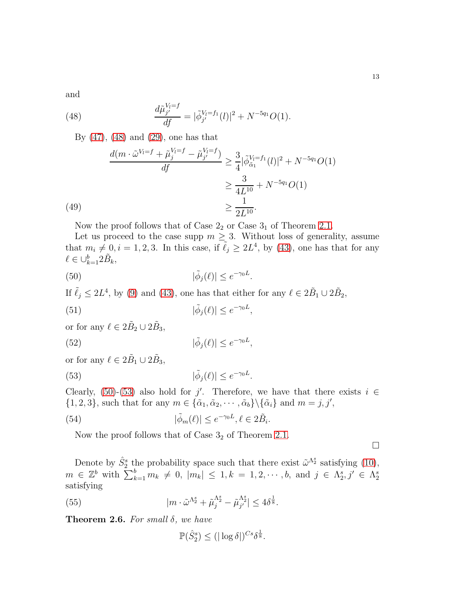and

(48) 
$$
\frac{d\tilde{\mu}_{j'}^{V_l=f}}{df} = |\tilde{\phi}_{j'}^{V_l=f_1}(l)|^2 + N^{-5q_1}O(1).
$$

<span id="page-12-0"></span>By [\(47\)](#page-11-3), [\(48\)](#page-12-0) and [\(29\)](#page-9-2), one has that

(49)  
\n
$$
\frac{d(m \cdot \tilde{\omega}^{V_i=f} + \tilde{\mu}_j^{V_i=f} - \tilde{\mu}_{j'}^{V_i=f})}{df} \ge \frac{3}{4} |\tilde{\phi}_{\tilde{\alpha}_1}^{V_i=f_1}(l)|^2 + N^{-5q_1}O(1)
$$
\n
$$
\ge \frac{3}{4L^{10}} + N^{-5q_1}O(1)
$$
\n
$$
\ge \frac{1}{2L^{10}}.
$$

Now the proof follows that of Case  $2<sub>2</sub>$  or Case  $3<sub>1</sub>$  of Theorem [2.1.](#page-6-0)

Let us proceed to the case supp  $m \geq 3$ . Without loss of generality, assume that  $m_i \neq 0, i = 1, 2, 3$ . In this case, if  $\tilde{\ell}_j \geq 2L^4$ , by [\(43\)](#page-11-4), one has that for any  $\ell \in \cup_{k=1}^b 2\tilde{B}_k,$ 

(50) 
$$
|\tilde{\phi}_j(\ell)| \leq e^{-\gamma_0 L}.
$$

If  $\tilde{\ell}_j \leq 2L^4$ , by [\(9\)](#page-5-6) and [\(43\)](#page-11-4), one has that either for any  $\ell \in 2\tilde{B}_1 \cup 2\tilde{B}_2$ ,

(51) 
$$
|\tilde{\phi}_j(\ell)| \leq e^{-\gamma_0 L},
$$

or for any  $\ell \in 2\tilde{B}_2 \cup 2\tilde{B}_3$ ,

(52) 
$$
|\tilde{\phi}_j(\ell)| \leq e^{-\gamma_0 L},
$$

or for any  $\ell \in 2\tilde{B}_1 \cup 2\tilde{B}_3$ ,

(53) 
$$
|\tilde{\phi}_j(\ell)| \le e^{-\gamma_0 L}
$$

Clearly, [\(50\)](#page-12-1)-[\(53\)](#page-12-2) also hold for j'. Therefore, we have that there exists  $i \in$  $\{1, 2, 3\}$ , such that for any  $m \in {\{\tilde{\alpha}_1, \tilde{\alpha}_2, \cdots, \tilde{\alpha}_b\}} \setminus {\{\tilde{\alpha}_i\}}$  and  $m = j, j'$ ,

<span id="page-12-2"></span><span id="page-12-1"></span>.

(54) 
$$
|\tilde{\phi}_m(\ell)| \le e^{-\gamma_0 L}, \ell \in 2\tilde{B}_i.
$$

Now the proof follows that of Case  $3<sub>2</sub>$  of Theorem [2.1.](#page-6-0)

 $\Box$ 

Denote by  $\hat{S}_2^s$  the probability space such that there exist  $\tilde{\omega}^{\Lambda_2^s}$  satisfying [\(10\)](#page-5-0),  $m \in \mathbb{Z}^b$  with  $\sum_{k=1}^b m_k \neq 0$ ,  $|m_k| \leq 1$ ,  $k = 1, 2, \cdots, b$ , and  $j \in \Lambda_2^s, j' \in \Lambda_2^s$ satisfying

(55) 
$$
|m \cdot \tilde{\omega}^{\Lambda_2^s} + \tilde{\mu}_j^{\Lambda_2^s} - \tilde{\mu}_{j'}^{\Lambda_2^s}| \leq 4\delta^{\frac{1}{8}}.
$$

<span id="page-12-4"></span>Theorem 2.6. For small  $\delta$ , we have

<span id="page-12-3"></span>
$$
\mathbb{P}(\hat{S}_2^s) \le (|\log \delta|)^{Cs} \delta^{\frac{1}{8}}.
$$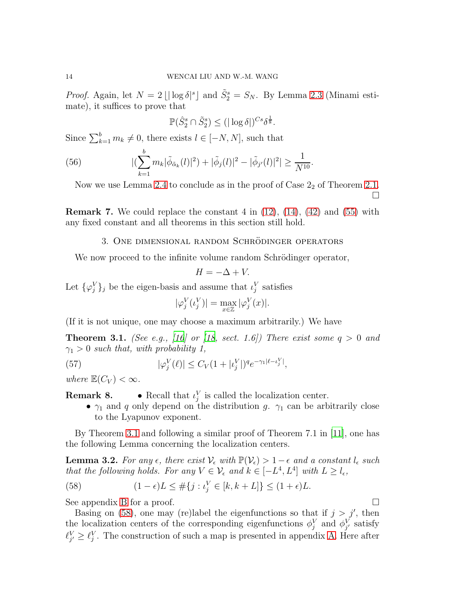*Proof.* Again, let  $N = 2 \lfloor |\log \delta|^s \rfloor$  and  $\tilde{S}_2^s = S_N$ . By Lemma [2.3](#page-6-2) (Minami estimate), it suffices to prove that

$$
\mathbb{P}(\hat{S}_2^s \cap \tilde{S}_2^s) \le (|\log \delta|)^{Cs} \delta^{\frac{1}{8}}.
$$

Since  $\sum_{k=1}^{b} m_k \neq 0$ , there exists  $l \in [-N, N]$ , such that

(56) 
$$
|(\sum_{k=1}^{b} m_{k}|\tilde{\phi}_{\tilde{\alpha}_{k}}(l)|^{2}) + |\tilde{\phi}_{j}(l)|^{2} - |\tilde{\phi}_{j'}(l)|^{2}| \geq \frac{1}{N^{10}}.
$$

Now we use Lemma [2.4](#page-6-4) to conclude as in the proof of Case  $2<sub>2</sub>$  of Theorem [2.1.](#page-6-0)  $\Box$ 

<span id="page-13-2"></span>**Remark 7.** We could replace the constant 4 in  $(12)$ ,  $(14)$ ,  $(42)$  and  $(55)$  with any fixed constant and all theorems in this section still hold.

#### 3. ONE DIMENSIONAL RANDOM SCHRÖDINGER OPERATORS

We now proceed to the infinite volume random Schrödinger operator,

$$
H = -\Delta + V.
$$

Let  $\{\varphi_j^V\}_j$  be the eigen-basis and assume that  $\iota_j^V$  satisfies

$$
|\varphi_j^V(\iota_j^V)| = \max_{x \in \mathbb{Z}} |\varphi_j^V(x)|.
$$

(If it is not unique, one may choose a maximum arbitrarily.) We have

<span id="page-13-0"></span>**Theorem 3.1.** (See e.g., [\[16](#page-38-3)] or [\[18](#page-38-11), sect. 1.6]) There exist some  $q > 0$  and  $\gamma_1 > 0$  such that, with probability 1,

(57) 
$$
|\varphi_j^V(\ell)| \le C_V (1 + |\iota_j^V|)^q e^{-\gamma_1 |\ell - \iota_j^V|},
$$

where  $\mathbb{E}(C_V) < \infty$ .

**Remark 8.** • Recall that  $\iota_j^V$  is called the localization center.

•  $\gamma_1$  and q only depend on the distribution g.  $\gamma_1$  can be arbitrarily close to the Lyapunov exponent.

By Theorem [3.1](#page-13-0) and following a similar proof of Theorem 7.1 in [\[11\]](#page-38-8), one has the following Lemma concerning the localization centers.

<span id="page-13-3"></span>**Lemma 3.2.** For any  $\epsilon$ , there exist  $\mathcal{V}_{\epsilon}$  with  $\mathbb{P}(\mathcal{V}_{\epsilon}) > 1 - \epsilon$  and a constant  $l_{\epsilon}$  such that the following holds. For any  $V \in \mathcal{V}_{\epsilon}$  and  $k \in [-L^4, L^4]$  with  $L \geq l_{\epsilon}$ ,

<span id="page-13-1"></span>(58) 
$$
(1 - \epsilon)L \leq #\{j : \iota_j^V \in [k, k + L]\} \leq (1 + \epsilon)L.
$$

See appendix [B](#page-35-0) for a proof.

Basing on [\(58\)](#page-13-1), one may (re)label the eigenfunctions so that if  $j > j'$ , then the localization centers of the corresponding eigenfunctions  $\phi_j^V$  and  $\phi_{j'}^V$  satisfy  $\ell_{j'}^V \geq \ell_j^V$ . The construction of such a map is presented in appendix [A.](#page-34-0) Here after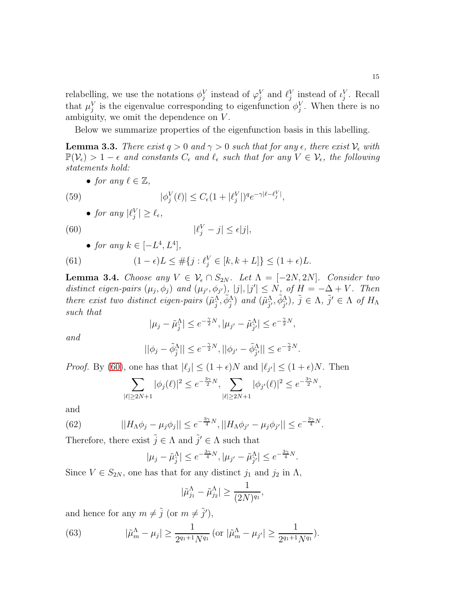relabelling, we use the notations  $\phi_j^V$  instead of  $\varphi_j^V$  and  $\ell_j^V$  instead of  $\iota_j^V$ . Recall that  $\mu_j^V$  is the eigenvalue corresponding to eigenfunction  $\phi_j^V$ . When there is no ambiguity, we omit the dependence on  $V$ .

Below we summarize properties of the eigenfunction basis in this labelling.

<span id="page-14-3"></span>**Lemma 3.3.** There exist  $q > 0$  and  $\gamma > 0$  such that for any  $\epsilon$ , there exist  $\mathcal{V}_{\epsilon}$  with  $\mathbb{P}(\mathcal{V}_{\epsilon}) > 1 - \epsilon$  and constants  $C_{\epsilon}$  and  $\ell_{\epsilon}$  such that for any  $V \in \mathcal{V}_{\epsilon}$ , the following statements hold:

• for any  $\ell \in \mathbb{Z}$ ,

(59) 
$$
|\phi_j^V(\ell)| \le C_{\epsilon} (1+|\ell_j^V|)^q e^{-\gamma |\ell - \ell_j^V|},
$$

• for any  $|\ell_j^V| \geq \ell_{\epsilon}$ ,

(60) 
$$
|\ell_j^V - j| \leq \epsilon |j|,
$$

• for any  $k \in [-L^4, L^4]$ ,

(61) 
$$
(1 - \epsilon)L \leq #\{j : \ell_j^V \in [k, k + L]\} \leq (1 + \epsilon)L.
$$

<span id="page-14-4"></span>**Lemma 3.4.** Choose any  $V \in \mathcal{V}_{\epsilon} \cap S_{2N}$ . Let  $\Lambda = [-2N, 2N]$ . Consider two distinct eigen-pairs  $(\mu_j, \phi_j)$  and  $(\mu_{j'}, \phi_{j'})$ ,  $|j|, |j'| \le N$ , of  $H = -\Delta + V$ . Then there exist two distinct eigen-pairs  $(\tilde{\mu}_{\tilde{j}}^{\tilde{\Lambda}}, \tilde{\phi}_{\tilde{j}}^{\tilde{\Lambda}})$  and  $(\tilde{\mu}_{\tilde{j}}^{\Lambda}, \tilde{\phi}_{\tilde{j}}^{\Lambda})$ ,  $\tilde{j} \in \Lambda$ ,  $\tilde{j}' \in \Lambda$  of  $H_{\Lambda}$ such that

<span id="page-14-0"></span>
$$
|\mu_j - \tilde{\mu}_j^{\Lambda}| \le e^{-\frac{\gamma}{2}N}, |\mu_{j'} - \tilde{\mu}_{\tilde{j}'}^{\Lambda}| \le e^{-\frac{\gamma}{2}N},
$$

and

$$
||\phi_j - \tilde{\phi}_{\tilde{j}}^{\Lambda}|| \leq e^{-\frac{\gamma}{2}N}, ||\phi_{j'} - \tilde{\phi}_{\tilde{j}'}^{\Lambda}|| \leq e^{-\frac{\gamma}{2}N}.
$$

*Proof.* By [\(60\)](#page-14-0), one has that  $|\ell_j| \le (1 + \epsilon)N$  and  $|\ell_{j'}| \le (1 + \epsilon)N$ . Then

$$
\sum_{|\ell|\geq 2N+1}|\phi_j(\ell)|^2\leq e^{-\frac{3\gamma}{2}N},\sum_{|\ell|\geq 2N+1}|\phi_{j'}(\ell)|^2\leq e^{-\frac{3\gamma}{2}N},
$$

and

(62) 
$$
||H_{\Lambda}\phi_j - \mu_j\phi_j|| \leq e^{-\frac{3\gamma}{4}N}, ||H_{\Lambda}\phi_{j'} - \mu_j\phi_{j'}|| \leq e^{-\frac{3\gamma}{4}N}.
$$

Therefore, there exist  $\tilde{j} \in \Lambda$  and  $\tilde{j}' \in \Lambda$  such that

<span id="page-14-1"></span>
$$
|\mu_j - \tilde{\mu}_{\tilde{j}}^{\Lambda}| \leq e^{-\frac{3\gamma}{4}N}, |\mu_{j'} - \tilde{\mu}_{\tilde{j}'}^{\Lambda}| \leq e^{-\frac{3\gamma}{4}N}.
$$

Since  $V \in S_{2N}$ , one has that for any distinct  $j_1$  and  $j_2$  in  $\Lambda$ ,

$$
|\tilde{\mu}_{j_1}^{\Lambda} - \tilde{\mu}_{j_2}^{\Lambda}| \ge \frac{1}{(2N)^{q_1}},
$$

and hence for any  $m \neq \tilde{j}$  (or  $m \neq \tilde{j}'$ ),

<span id="page-14-2"></span>(63) 
$$
|\tilde{\mu}_m^{\Lambda} - \mu_j| \ge \frac{1}{2^{q_1+1} N^{q_1}} \left( \text{or } |\tilde{\mu}_m^{\Lambda} - \mu_{j'}| \ge \frac{1}{2^{q_1+1} N^{q_1}} \right).
$$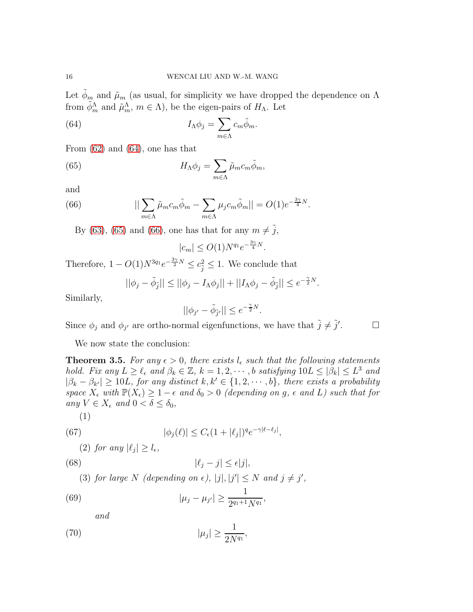Let  $\phi_m$  and  $\tilde{\mu}_m$  (as usual, for simplicity we have dropped the dependence on  $\Lambda$ from  $\tilde{\phi}_m^{\Lambda}$  and  $\tilde{\mu}_m^{\Lambda}$ ,  $m \in \Lambda$ ), be the eigen-pairs of  $H_{\Lambda}$ . Let

<span id="page-15-1"></span>(64) 
$$
I_{\Lambda}\phi_j = \sum_{m \in \Lambda} c_m \tilde{\phi}_m.
$$

From  $(62)$  and  $(64)$ , one has that

(65) 
$$
H_{\Lambda}\phi_j = \sum_{m \in \Lambda} \tilde{\mu}_m c_m \tilde{\phi}_m,
$$

and

(66) 
$$
||\sum_{m\in\Lambda}\tilde{\mu}_mc_m\tilde{\phi}_m-\sum_{m\in\Lambda}\mu_jc_m\tilde{\phi}_m||=O(1)e^{-\frac{3\gamma}{4}N}.
$$

By [\(63\)](#page-14-2), [\(65\)](#page-15-2) and [\(66\)](#page-15-3), one has that for any  $m \neq \tilde{j}$ ,

<span id="page-15-3"></span><span id="page-15-2"></span>
$$
|c_m| \le O(1)N^{q_1}e^{-\frac{3\gamma}{4}N}.
$$

Therefore,  $1 - O(1)N^{3q_1}e^{-\frac{3\gamma}{2}N} \leq c_j^2 \leq 1$ . We conclude that

$$
||\phi_j - \tilde{\phi}_{\tilde{j}}|| \le ||\phi_j - I_{\Lambda}\phi_j|| + ||I_{\Lambda}\phi_j - \tilde{\phi}_{\tilde{j}}|| \le e^{-\frac{\gamma}{2}N}.
$$

Similarly,

$$
||\phi_{j'}-\tilde{\phi}_{\tilde{j}'}||\leq e^{-\frac{\gamma}{2}N}.
$$

Since  $\phi_j$  and  $\phi_{j'}$  are ortho-normal eigenfunctions, we have that  $\tilde{j} \neq \tilde{j}'$ 

 $\Box$ 

We now state the conclusion:

<span id="page-15-0"></span>**Theorem 3.5.** For any  $\epsilon > 0$ , there exists  $l_{\epsilon}$  such that the following statements hold. Fix any  $L \geq \ell_{\epsilon}$  and  $\beta_k \in \mathbb{Z}$ ,  $k = 1, 2, \cdots, b$  satisfying  $10L \leq |\beta_k| \leq L^3$  and  $|\beta_k - \beta_{k'}| \ge 10L$ , for any distinct  $k, k' \in \{1, 2, \dots, b\}$ , there exists a probability space  $X_{\epsilon}$  with  $\mathbb{P}(X_{\epsilon}) \geq 1 - \epsilon$  and  $\delta_0 > 0$  (depending on g,  $\epsilon$  and L) such that for any  $V \in X_{\epsilon}$  and  $0 < \delta \leq \delta_0$ ,

$$
^{(1)}
$$

(67) 
$$
|\phi_j(\ell)| \leq C_{\epsilon} (1 + |\ell_j|)^q e^{-\gamma |\ell - \ell_j|},
$$

<span id="page-15-4"></span>(2) for any  $|\ell_j| \geq l_{\epsilon}$ ,

(68) 
$$
|\ell_j - j| \leq \epsilon |j|,
$$

(3) for large N (depending on  $\epsilon$ ),  $|j|, |j'| \leq N$  and  $j \neq j'$ ,

(69) 
$$
|\mu_j - \mu_{j'}| \geq \frac{1}{2^{q_1+1} N^{q_1}},
$$

<span id="page-15-5"></span>and

$$
|\mu_j| \ge \frac{1}{2N^{q_1}},
$$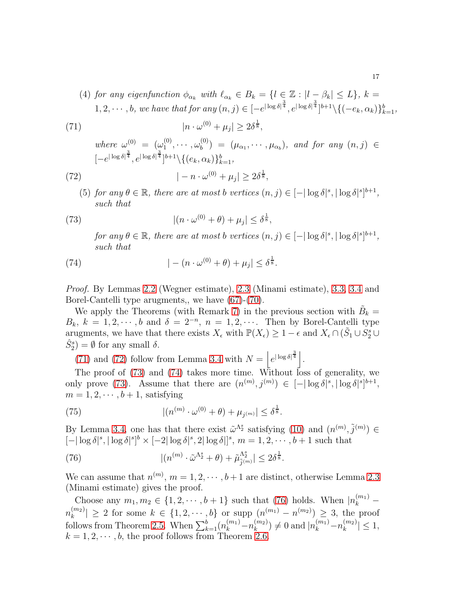<span id="page-16-0"></span>(4) for any eigenfunction  $\phi_{\alpha_k}$  with  $\ell_{\alpha_k} \in B_k = \{l \in \mathbb{Z} : |l - \beta_k| \leq L\}, k =$  $1, 2, \dots, b$ , we have that for any  $(n, j) \in [-e^{|\log \delta|^{\frac{3}{4}}}, e^{|\log \delta|^{\frac{3}{4}}}]^{b+1} \setminus \{(-e_k, \alpha_k)\}_{k=1}^b$ ,

(71)  
\n
$$
|n \cdot \omega^{(0)} + \mu_j| \ge 2\delta^{\frac{1}{8}},
$$
\nwhere  $\omega^{(0)} = (\omega_1^{(0)}, \dots, \omega_b^{(0)}) = (\mu_{\alpha_1}, \dots, \mu_{\alpha_b}),$  and for any  $(n, j) \in [-e^{|\log \delta|^{\frac{3}{4}}}, e^{|\log \delta|^{\frac{3}{4}}}]^{b+1} \setminus \{(e_k, \alpha_k)\}_{k=1}^b,$   
\n(72)  
\n
$$
|-n \cdot \omega^{(0)} + \mu_j| \ge 2\delta^{\frac{1}{8}},
$$

(5) for any  $\theta \in \mathbb{R}$ , there are at most b vertices  $(n, j) \in [-|\log \delta|^s, |\log \delta|^s]^{b+1}$ , such that

(73) 
$$
|(n \cdot \omega^{(0)} + \theta) + \mu_j| \leq \delta^{\frac{1}{8}},
$$

<span id="page-16-3"></span><span id="page-16-2"></span><span id="page-16-1"></span>for any  $\theta \in \mathbb{R}$ , there are at most b vertices  $(n, j) \in [-|\log \delta|^s, |\log \delta|^s]^{b+1}$ , such that

(74) 
$$
|-(n \cdot \omega^{(0)} + \theta) + \mu_j| \leq \delta^{\frac{1}{8}}.
$$

Proof. By Lemmas [2.2](#page-6-5) (Wegner estimate), [2.3](#page-6-2) (Minami estimate), [3.3,](#page-14-3) [3.4](#page-14-4) and Borel-Cantelli type arugments,, we have [\(67\)](#page-15-4)-[\(70\)](#page-15-5).

We apply the Theorems (with Remark [7\)](#page-13-2) in the previous section with  $\tilde{B}_k =$  $B_k$ ,  $k = 1, 2, \dots, b$  and  $\delta = 2^{-n}$ ,  $n = 1, 2, \dots$  Then by Borel-Cantelli type arugments, we have that there exists  $X_{\epsilon}$  with  $\mathbb{P}(X_{\epsilon}) \geq 1 - \epsilon$  and  $X_{\epsilon} \cap (\tilde{S}_1 \cup S_2^s \cup$  $\hat{S}_2^s$  =  $\emptyset$  for any small  $\delta$ .

[\(71\)](#page-16-0) and [\(72\)](#page-16-1) follow from Lemma [3.4](#page-14-4) with  $N = |e^{|\log \delta|^{\frac{3}{4}}}|$ .

The proof of [\(73\)](#page-16-2) and [\(74\)](#page-16-3) takes more time. Without loss of generality, we only prove [\(73\)](#page-16-2). Assume that there are  $(n^{(m)}, j^{(m)}) \in [-|\log \delta|^s, |\log \delta|^s]^{b+1}$ ,  $m = 1, 2, \cdots, b + 1$ , satisfying

(75) 
$$
|(n^{(m)} \cdot \omega^{(0)} + \theta) + \mu_{j^{(m)}}| \leq \delta^{\frac{1}{8}}.
$$

By Lemma [3.4,](#page-14-4) one has that there exist  $\tilde{\omega}^{\Lambda_2^s}$  satisfying [\(10\)](#page-5-0) and  $(n^{(m)}, \tilde{j}^{(m)}) \in$  $[-|\log \delta|^s, |\log \delta|^s]^{b} \times [-2|\log \delta|^s, 2|\log \delta|^{s}, m = 1, 2, \cdots, b+1$  such that

<span id="page-16-4"></span>(76) 
$$
|(n^{(m)} \cdot \tilde{\omega}^{\Lambda_2^s} + \theta) + \tilde{\mu}_{\tilde{j}^{(m)}}^{\Lambda_2^s}| \leq 2\delta^{\frac{1}{8}}.
$$

We can assume that  $n^{(m)}$ ,  $m = 1, 2, \cdots, b+1$  are distinct, otherwise Lemma [2.3](#page-6-2) (Minami estimate) gives the proof.

Choose any  $m_1, m_2 \in \{1, 2, \dots, b+1\}$  such that [\(76\)](#page-16-4) holds. When  $|n_k^{(m_1)}|$  $n_k^{(m_2)}$  $\binom{m_2}{k}$  2 for some  $k \in \{1, 2, \cdots, b\}$  or supp  $\binom{n^{(m_1)}-n^{(m_2)}}{2} \geq 3$ , the proof follows from Theorem [2.5.](#page-11-5) When  $\sum_{k=1}^{b} (n_k^{(m_1)} - n_k^{(m_2)})$  $\binom{m_2}{k} \neq 0$  and  $|n_k^{(m_1)}-n_k^{(m_2)}\rangle$  $|k^{(m_2)}| \leq 1,$  $k = 1, 2, \dots, b$ , the proof follows from Theorem [2.6.](#page-12-4)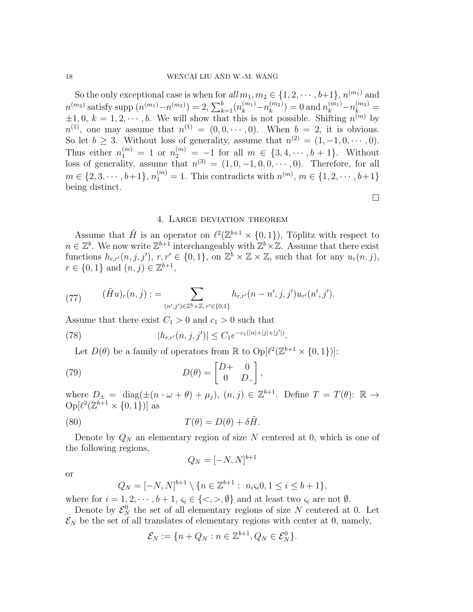So the only exceptional case is when for  $all m_1, m_2 \in \{1, 2, \cdots, b+1\}, n^{(m_1)}$  and  $n^{(m_2)}$  satisfy supp  $(n^{(m_1)}-n^{(m_2)})=2, \sum_{k=1}^{b} (n_k^{(m_1)}-n_k^{(m_2)})$  $\binom{m_2}{k}$  = 0 and  $n_k^{(m_1)}-n_k^{(m_2)}$  =  $\pm 1, 0, k = 1, 2, \cdots, b$ . We will show that this is not possible. Shifting  $n^{(m)}$  by  $n^{(1)}$ , one may assume that  $n^{(1)} = (0, 0, \dots, 0)$ . When  $b = 2$ , it is obvious. So let  $b \geq 3$ . Without loss of generality, assume that  $n^{(2)} = (1, -1, 0, \dots, 0)$ . Thus either  $n_1^{(m)} = 1$  or  $n_2^{(m)} = -1$  for all  $m \in \{3, 4, \cdots, b+1\}$ . Without loss of generality, assume that  $n^{(3)} = (1, 0, -1, 0, 0, \dots, 0)$ . Therefore, for all  $m \in \{2, 3, \cdots, b+1\}, n_1^{(m)} = 1$ . This contradicts with  $n^{(m)}$ ,  $m \in \{1, 2, \cdots, b+1\}$ being distinct.

## 4. Large deviation theorem

<span id="page-17-0"></span>Assume that  $\tilde{H}$  is an operator on  $\ell^2(\mathbb{Z}^{b+1}\times\{0,1\})$ , Töplitz with respect to  $n \in \mathbb{Z}^b$ . We now write  $\mathbb{Z}^{b+1}$  interchangeably with  $\mathbb{Z}^b \times \mathbb{Z}$ . Assume that there exist functions  $h_{r,r'}(n,j,j'), r,r' \in \{0,1\}$ , on  $\mathbb{Z}^b \times \mathbb{Z} \times \mathbb{Z}$ , such that for any  $u_r(n,j)$ ,  $r \in \{0, 1\}$  and  $(n, j) \in \mathbb{Z}^{b+1}$ ,

(77) 
$$
(\tilde{H}u)_r(n,j) := \sum_{(n',j')\in\mathbb{Z}^b\times\mathbb{Z}, r'\in\{0,1\}} h_{r,r'}(n-n',j,j')u_{r'}(n',j').
$$

Assume that there exist  $C_1 > 0$  and  $c_1 > 0$  such that

(78) 
$$
|h_{r,r'}(n,j,j')| \leq C_1 e^{-c_1(|n|+|j|+|j'|)}.
$$

<span id="page-17-2"></span>Let  $D(\theta)$  be a family of operators from  $\mathbb R$  to  $\text{Op}[\ell^2(\mathbb Z^{b+1}\times\{0,1\})]$ :

(79) 
$$
D(\theta) = \begin{bmatrix} D+ & 0 \\ 0 & D_- \end{bmatrix},
$$

where  $D_{\pm} = \text{diag}(\pm (n \cdot \omega + \theta) + \mu_j), (n, j) \in \mathbb{Z}^{b+1}$ . Define  $T = T(\theta)$ :  $\mathbb{R} \to$  $\mathrm{Op}[\ell^2(\mathbb{Z}^{b+1}\times\{0,1\})]$  as

(80) 
$$
T(\theta) = D(\theta) + \delta \tilde{H}.
$$

Denote by  $Q_N$  an elementary region of size N centered at 0, which is one of the following regions,

<span id="page-17-1"></span>
$$
Q_N = [-N, N]^{b+1}
$$

or

$$
Q_N = [-N, N]^{b+1} \setminus \{n \in \mathbb{Z}^{b+1} : n_i \varsigma_i 0, 1 \le i \le b+1\},\
$$

where for  $i = 1, 2, \dots, b + 1, \varsigma_i \in \{ \langle \rangle, \varnothing \}$  and at least two  $\varsigma_i$  are not  $\emptyset$ .

Denote by  $\mathcal{E}_N^0$  the set of all elementary regions of size N centered at 0. Let  $\mathcal{E}_N$  be the set of all translates of elementary regions with center at 0, namely,

$$
\mathcal{E}_N := \{ n + Q_N : n \in \mathbb{Z}^{b+1}, Q_N \in \mathcal{E}_N^0 \}.
$$

 $\Box$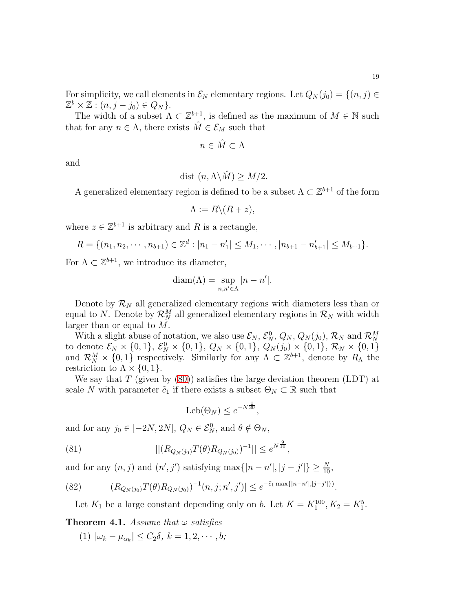For simplicity, we call elements in  $\mathcal{E}_N$  elementary regions. Let  $Q_N(j_0) = \{(n, j) \in$  $\mathbb{Z}^b \times \mathbb{Z} : (n, j - j_0) \in Q_N$ .

The width of a subset  $\Lambda \subset \mathbb{Z}^{b+1}$ , is defined as the maximum of  $M \in \mathbb{N}$  such that for any  $n \in \Lambda$ , there exists  $\hat{M} \in \mathcal{E}_M$  such that

$$
n \in \hat{M} \subset \Lambda
$$

and

$$
\text{dist}\ (n, \Lambda \backslash \hat{M}) \ge M/2.
$$

A generalized elementary region is defined to be a subset  $\Lambda \subset \mathbb{Z}^{b+1}$  of the form

$$
\Lambda := R \backslash (R + z),
$$

where  $z \in \mathbb{Z}^{b+1}$  is arbitrary and R is a rectangle,

$$
R = \{(n_1, n_2, \cdots, n_{b+1}) \in \mathbb{Z}^d : |n_1 - n'_1| \leq M_1, \cdots, |n_{b+1} - n'_{b+1}| \leq M_{b+1}\}.
$$

For  $\Lambda \subset \mathbb{Z}^{b+1}$ , we introduce its diameter,

$$
diam(\Lambda) = \sup_{n,n' \in \Lambda} |n - n'|.
$$

Denote by  $\mathcal{R}_N$  all generalized elementary regions with diameters less than or equal to N. Denote by  $\mathcal{R}_N^M$  all generalized elementary regions in  $\mathcal{R}_N$  with width larger than or equal to M.

With a slight abuse of notation, we also use  $\mathcal{E}_N$ ,  $\mathcal{E}_N^0$ ,  $Q_N$ ,  $Q_N(j_0)$ ,  $\mathcal{R}_N$  and  $\mathcal{R}_N^M$ to denote  $\mathcal{E}_N \times \{0, 1\}$ ,  $\mathcal{E}_N^0 \times \{0, 1\}$ ,  $Q_N \times \{0, 1\}$ ,  $Q_N(j_0) \times \{0, 1\}$ ,  $\mathcal{R}_N \times \{0, 1\}$ and  $\mathcal{R}_N^M \times \{0,1\}$  respectively. Similarly for any  $\Lambda \subset \mathbb{Z}^{b+1}$ , denote by  $R_\Lambda$  the restriction to  $\Lambda \times \{0, 1\}.$ 

We say that T (given by  $(80)$ ) satisfies the large deviation theorem (LDT) at scale N with parameter  $\tilde{c}_1$  if there exists a subset  $\Theta_N \subset \mathbb{R}$  such that

<span id="page-18-1"></span>
$$
Leb(\Theta_N) \le e^{-N^{\frac{1}{30}}},
$$

and for any  $j_0 \in [-2N, 2N]$ ,  $Q_N \in \mathcal{E}_N^0$ , and  $\theta \notin \Theta_N$ ,

(81) 
$$
||(R_{Q_N(j_0)}T(\theta)R_{Q_N(j_0)})^{-1}|| \leq e^{N^{\frac{9}{10}}},
$$

and for any  $(n, j)$  and  $(n', j')$  satisfying  $\max\{|n - n'|, |j - j'|\} \ge \frac{N}{10}$ ,

(82) 
$$
|(R_{Q_N(j_0)}T(\theta)R_{Q_N(j_0)})^{-1}(n,j;n',j')| \leq e^{-\tilde{c}_1 \max\{|n-n'|,|j-j'|\}}.
$$

<span id="page-18-2"></span>Let  $K_1$  be a large constant depending only on b. Let  $K = K_1^{100}, K_2 = K_1^5$ .

<span id="page-18-0"></span>**Theorem 4.1.** Assume that  $\omega$  satisfies

(1)  $|\omega_k - \mu_{\alpha_k}| \le C_2 \delta, k = 1, 2, \cdots, b;$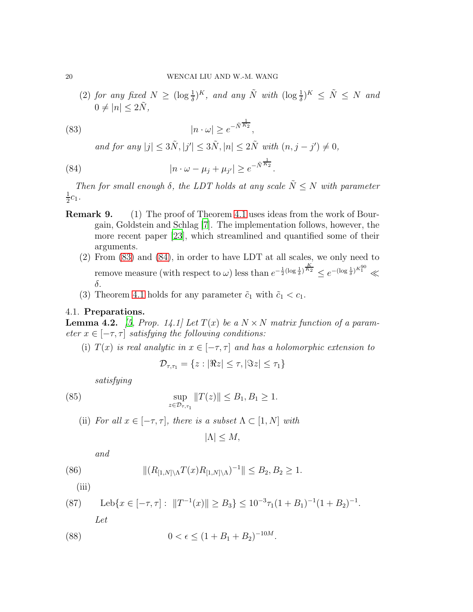(2) for any fixed  $N \geq (\log \frac{1}{\delta})^K$ , and any  $\tilde{N}$  with  $(\log \frac{1}{\delta})^K \leq \tilde{N} \leq N$  and  $0 \neq |n| \leq 2\tilde{N},$ 

(83) 
$$
|n \cdot \omega| \ge e^{-\tilde{N}^{\frac{1}{K_2}}},
$$

<span id="page-19-1"></span><span id="page-19-0"></span>and for any  $|j| \leq 3\tilde{N}, |j'| \leq 3\tilde{N}, |n| \leq 2\tilde{N}$  with  $(n, j - j') \neq 0$ ,

(84) 
$$
|n \cdot \omega - \mu_j + \mu_{j'}| \ge e^{-\tilde{N}^{\frac{1}{K_2}}}.
$$

Then for small enough  $\delta$ , the LDT holds at any scale  $\tilde{N} \leq N$  with parameter 1  $\frac{1}{2}c_1$ .

- Remark 9. (1) The proof of Theorem [4.1](#page-18-0) uses ideas from the work of Bourgain, Goldstein and Schlag [\[7](#page-38-12)]. The implementation follows, however, the more recent paper [\[23](#page-39-10)], which streamlined and quantified some of their arguments.
	- (2) From [\(83\)](#page-19-0) and [\(84\)](#page-19-1), in order to have LDT at all scales, we only need to remove measure (with respect to  $\omega$ ) less than  $e^{-\frac{1}{2}(\log \frac{1}{\delta})^{\frac{K}{K_2}}} \leq e^{-(\log \frac{1}{\delta})^{K_1^{90}}} \ll$ δ.
	- (3) Theorem [4.1](#page-18-0) holds for any parameter  $\tilde{c}_1$  with  $\tilde{c}_1 < c_1$ .

#### 4.1. Preparations.

<span id="page-19-2"></span>**Lemma 4.2.** [\[5,](#page-38-10) Prop. 14.1] Let  $T(x)$  be a  $N \times N$  matrix function of a parameter  $x \in [-\tau, \tau]$  satisfying the following conditions:

(i)  $T(x)$  is real analytic in  $x \in [-\tau, \tau]$  and has a holomorphic extension to

$$
\mathcal{D}_{\tau,\tau_1} = \{ z : |\Re z| \leq \tau, |\Im z| \leq \tau_1 \}
$$

satisfying

(85) 
$$
\sup_{z \in \mathcal{D}_{\tau,\tau_1}} ||T(z)|| \leq B_1, B_1 \geq 1.
$$

(ii) For all  $x \in [-\tau, \tau]$ , there is a subset  $\Lambda \subset [1, N]$  with

$$
|\Lambda| \le M,
$$

and

(86) 
$$
||(R_{[1,N]\setminus\Lambda}T(x)R_{[1,N]\setminus\Lambda})^{-1}|| \leq B_2, B_2 \geq 1.
$$

(iii)

(87) 
$$
\text{Leb}\{x \in [-\tau, \tau]: \|T^{-1}(x)\| \ge B_3\} \le 10^{-3} \tau_1 (1 + B_1)^{-1} (1 + B_2)^{-1}.
$$

<span id="page-19-3"></span>Let

(88) 
$$
0 < \epsilon \le (1 + B_1 + B_2)^{-10M}.
$$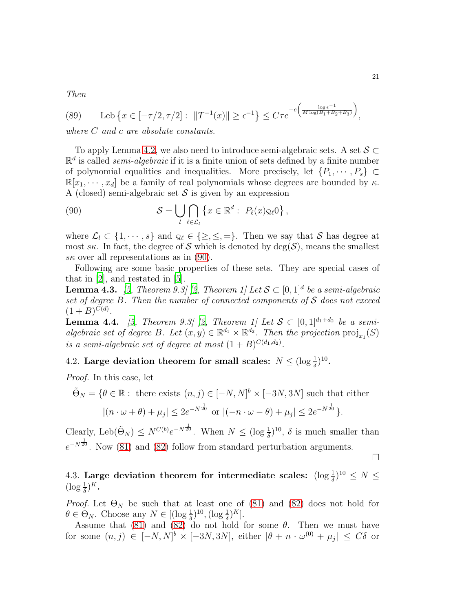Then

(89) 
$$
\text{Leb}\left\{x \in [-\tau/2, \tau/2]: ||T^{-1}(x)|| \geq \epsilon^{-1}\right\} \leq C\tau e^{-c\left(\frac{\log \epsilon^{-1}}{M\log(B_1 + B_2 + B_3)}\right)},
$$

where C and c are absolute constants.

To apply Lemma [4.2,](#page-19-2) we also need to introduce semi-algebraic sets. A set  $S \subset$  $\mathbb{R}^d$  is called *semi-algebraic* if it is a finite union of sets defined by a finite number of polynomial equalities and inequalities. More precisely, let  $\{P_1, \dots, P_s\} \subset$  $\mathbb{R}[x_1, \dots, x_d]$  be a family of real polynomials whose degrees are bounded by  $\kappa$ . A (closed) semi-algebraic set  $\mathcal S$  is given by an expression

<span id="page-20-0"></span>(90) 
$$
\mathcal{S} = \bigcup_{l} \bigcap_{\ell \in \mathcal{L}_l} \left\{ x \in \mathbb{R}^d : P_{\ell}(x) \varsigma_{l\ell} 0 \right\},
$$

where  $\mathcal{L}_l \subset \{1, \dots, s\}$  and  $\varsigma_{l\ell} \in \{\geq, \leq, =\}.$  Then we say that S has degree at most sk. In fact, the degree of S which is denoted by  $deg(S)$ , means the smallest  $s\kappa$  over all representations as in [\(90\)](#page-20-0).

Following are some basic properties of these sets. They are special cases of that in [\[2\]](#page-37-1), and restated in [\[5\]](#page-38-10).

**Lemma 4.3.** [\[5,](#page-38-10) Theorem 9.3] [\[2](#page-37-1), Theorem 1] Let  $S \subset [0,1]^d$  be a semi-algebraic set of degree  $B$ . Then the number of connected components of  $S$  does not exceed  $(1 + B)^{C(d)}$ .

<span id="page-20-1"></span>**Lemma 4.4.** [\[5](#page-38-10), Theorem 9.3] [\[2,](#page-37-1) Theorem 1] Let  $S \subset [0,1]^{d_1+d_2}$  be a semialgebraic set of degree B. Let  $(x, y) \in \mathbb{R}^{d_1} \times \mathbb{R}^{d_2}$ . Then the projection  $\text{proj}_{x_1}(S)$ is a semi-algebraic set of degree at most  $(1 + B)^{C(d_1,d_2)}$ .

4.2. Large deviation theorem for small scales:  $N \leq (\log \frac{1}{\delta})^{10}$ .

Proof. In this case, let

$$
\tilde{\Theta}_N = \{ \theta \in \mathbb{R} : \text{ there exists } (n, j) \in [-N, N]^b \times [-3N, 3N] \text{ such that either}
$$

$$
|(n \cdot \omega + \theta) + \mu_j| \le 2e^{-N\frac{1}{20}} \text{ or } |(-n \cdot \omega - \theta) + \mu_j| \le 2e^{-N\frac{1}{20}} \}.
$$

Clearly, Leb $(\tilde{\Theta}_N) \leq N^{C(b)} e^{-N^{\frac{1}{20}}}$ . When  $N \leq (\log \frac{1}{\delta})^{10}$ ,  $\delta$  is much smaller than  $e^{-N^{\frac{1}{20}}}$ . Now [\(81\)](#page-18-1) and [\(82\)](#page-18-2) follow from standard perturbation arguments.

 $\Box$ 

4.3. Large deviation theorem for intermediate scales:  $(\log \frac{1}{\delta})^{10} \leq N \leq$  $(\log \frac{1}{\delta})^K$ .

Proof. Let  $\Theta_N$  be such that at least one of [\(81\)](#page-18-1) and [\(82\)](#page-18-2) does not hold for  $\theta \in \Theta_N$ . Choose any  $N \in \left[ (\log \frac{1}{\delta})^{10}, (\log \frac{1}{\delta})^K \right]$ .

Assume that [\(81\)](#page-18-1) and [\(82\)](#page-18-2) do not hold for some  $\theta$ . Then we must have for some  $(n, j) \in [-N, N]^b \times [-3N, 3N]$ , either  $|\theta + n \cdot \omega^{(0)} + \mu_j| \leq C\delta$  or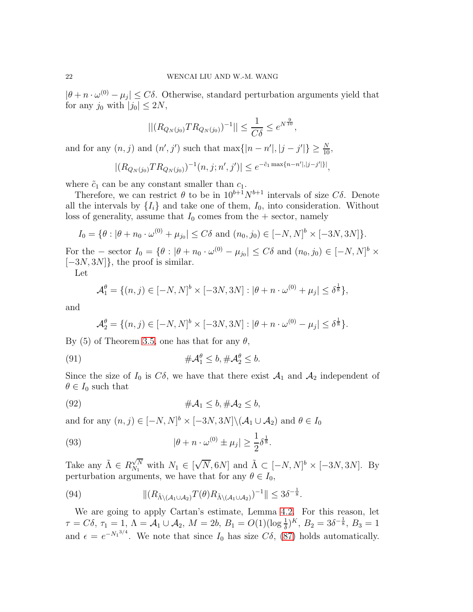$|\theta + n \cdot \omega^{(0)} - \mu_j| \leq C\delta$ . Otherwise, standard perturbation arguments yield that for any  $j_0$  with  $|j_0| \leq 2N$ ,

$$
||(R_{Q_N(j_0)}TR_{Q_N(j_0)})^{-1}|| \leq \frac{1}{C\delta} \leq e^{N^{\frac{9}{10}}},
$$

and for any  $(n, j)$  and  $(n', j')$  such that  $\max\{|n - n'|, |j - j'|\} \ge \frac{N}{10}$ ,

$$
|(R_{Q_N(j_0)}TR_{Q_N(j_0)})^{-1}(n,j;n',j')| \leq e^{-\tilde{c}_1 \max\{n-n'\mid,|j-j'|\}},
$$

where  $\tilde{c}_1$  can be any constant smaller than  $c_1$ .

Therefore, we can restrict  $\theta$  to be in  $10^{b+1}N^{b+1}$  intervals of size C $\delta$ . Denote all the intervals by  $\{I_i\}$  and take one of them,  $I_0$ , into consideration. Without loss of generality, assume that  $I_0$  comes from the  $+$  sector, namely

$$
I_0 = \{ \theta : |\theta + n_0 \cdot \omega^{(0)} + \mu_{j_0}| \le C\delta \text{ and } (n_0, j_0) \in [-N, N]^b \times [-3N, 3N] \}.
$$

For the – sector  $I_0 = \{ \theta : |\theta + n_0 \cdot \omega^{(0)} - \mu_{j_0} | \leq C \delta \text{ and } (n_0, j_0) \in [-N, N]^b \times$  $[-3N, 3N]$ , the proof is similar.

Let

$$
\mathcal{A}_1^{\theta} = \{ (n,j) \in [-N,N]^b \times [-3N,3N] : |\theta + n \cdot \omega^{(0)} + \mu_j| \le \delta^{\frac{1}{8}} \},
$$

and

$$
\mathcal{A}_{2}^{\theta} = \{ (n, j) \in [-N, N]^{b} \times [-3N, 3N] : |\theta + n \cdot \omega^{(0)} - \mu_{j}| \leq \delta^{\frac{1}{8}} \}.
$$

By (5) of Theorem [3.5,](#page-15-0) one has that for any  $\theta$ ,

(91) 
$$
\#\mathcal{A}_1^{\theta} \leq b, \#\mathcal{A}_2^{\theta} \leq b.
$$

Since the size of  $I_0$  is  $C\delta$ , we have that there exist  $\mathcal{A}_1$  and  $\mathcal{A}_2$  independent of  $\theta \in I_0$  such that

<span id="page-21-0"></span>
$$
(92) \qquad \qquad #\mathcal{A}_1 \leq b, \#\mathcal{A}_2 \leq b,
$$

and for any  $(n, j) \in [-N, N]^b \times [-3N, 3N] \setminus (\mathcal{A}_1 \cup \mathcal{A}_2)$  and  $\theta \in I_0$ 

<span id="page-21-1"></span>(93) 
$$
|\theta + n \cdot \omega^{(0)} \pm \mu_j| \geq \frac{1}{2} \delta^{\frac{1}{8}}.
$$

Take any  $\tilde{\Lambda} \in R_{N_1}^{\sqrt{N}}$  $\sqrt{\frac{N}{N}}$  with  $N_1 \in [\sqrt{N}, 6N]$  and  $\tilde{\Lambda} \subset [-N, N]^b \times [-3N, 3N]$ . By perturbation arguments, we have that for any  $\theta \in I_0$ ,

(94) 
$$
\| (R_{\tilde{\Lambda} \setminus (A_1 \cup A_2)} T(\theta) R_{\tilde{\Lambda} \setminus (A_1 \cup A_2)})^{-1} \| \leq 3\delta^{-\frac{1}{8}}.
$$

We are going to apply Cartan's estimate, Lemma [4.2.](#page-19-2) For this reason, let  $\tau = C\delta$ ,  $\tau_1 = 1$ ,  $\Lambda = \mathcal{A}_1 \cup \mathcal{A}_2$ ,  $M = 2b$ ,  $B_1 = O(1)(\log \frac{1}{\delta})^K$ ,  $B_2 = 3\delta^{-\frac{1}{8}}$ ,  $B_3 = 1$ and  $\epsilon = e^{-N_1^{3/4}}$ . We note that since  $I_0$  has size  $C\delta$ , [\(87\)](#page-19-3) holds automatically.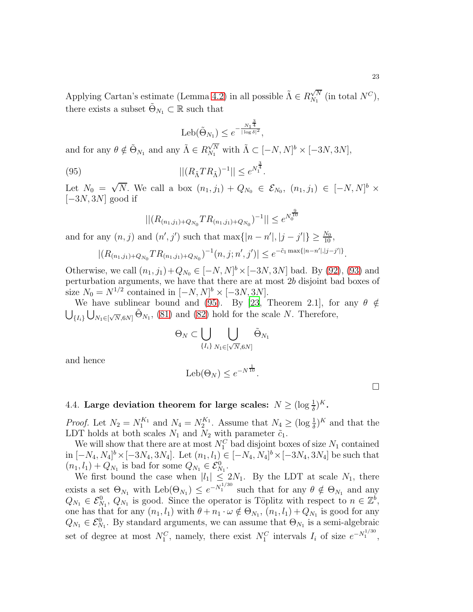Applying Cartan's estimate (Lemma [4.2\)](#page-19-2) in all possible  $\tilde{\Lambda} \in R_{N_1}^{\sqrt{N}}$  $\mathcal{N}_N^{N}$  (in total  $N^C$ ), there exists a subset  $\tilde{\Theta}_{N_1} \subset \mathbb{R}$  such that

<span id="page-22-0"></span>
$$
Leb(\tilde{\Theta}_{N_1}) \leq e^{-\frac{N_1^{\frac{3}{4}}}{|\log \delta|^2}},
$$

and for any  $\theta \notin \tilde{\Theta}_{N_1}$  and any  $\tilde{\Lambda} \in R_{N_1}^{\sqrt{N}}$  $\sqrt{\frac{N}{N_1}}$  with  $\tilde{\Lambda} \subset [-N, N]^b \times [-3N, 3N],$ 

(95)  $||(R_{\tilde{\Lambda}}TR_{\tilde{\Lambda}})^{-1}|| \leq e^{N_1^{\frac{3}{4}}}.$ 

Let  $N_0 = \sqrt{N}$ . We call a box  $(n_1, j_1) + Q_{N_0} \in \mathcal{E}_{N_0}$ ,  $(n_1, j_1) \in [-N, N]^b \times$  $[-3N, 3N]$  good if

$$
||(R_{(n_1,j_1)+Q_{N_0}}TR_{(n_1,j_1)+Q_{N_0}})^{-1}|| \leq e^{N_0^{\frac{9}{10}}}
$$

and for any  $(n, j)$  and  $(n', j')$  such that  $\max\{|n - n'|, |j - j'|\} \ge \frac{N_0}{10}$ ,

$$
|(R_{(n_1,j_1)+Q_{N_0}}TR_{(n_1,j_1)+Q_{N_0}})^{-1}(n,j;n',j')| \leq e^{-\tilde{c}_1 \max\{|n-n'|,|j-j'|\}}.
$$

Otherwise, we call  $(n_1, j_1) + Q_{N_0} \in [-N, N]^b \times [-3N, 3N]$  bad. By [\(92\)](#page-21-0), [\(93\)](#page-21-1) and perturbation arguments, we have that there are at most 2b disjoint bad boxes of size  $N_0 = N^{1/2}$  contained in  $[-N, N]^b \times [-3N, 3N]$ .

We have sublinear bound and [\(95\)](#page-22-0). By [\[23](#page-39-10), Theorem 2.1], for any  $\theta \notin$  $\bigcup_{\{I_i\}} \bigcup_{N_1 \in [\sqrt{N}, 6N]} \tilde{\Theta}_{N_1}$ , [\(81\)](#page-18-1) and [\(82\)](#page-18-2) hold for the scale N. Therefore,

$$
\Theta_N \subset \bigcup_{\{I_i\}} \bigcup_{N_1 \in [\sqrt{N}, 6N]} \tilde{\Theta}_{N_1}
$$

and hence

$$
\text{Leb}(\Theta_N) \le e^{-N^{\frac{1}{10}}}
$$

.

# 4.4. Large deviation theorem for large scales:  $N \geq (\log \frac{1}{\delta})^K$ .

*Proof.* Let  $N_2 = N_1^{K_1}$  and  $N_4 = N_2^{K_1}$ . Assume that  $N_4 \geq (\log \frac{1}{\delta})^K$  and that the LDT holds at both scales  $N_1$  and  $N_2$  with parameter  $\tilde{c}_1$ .

We will show that there are at most  $N_1^C$  bad disjoint boxes of size  $N_1$  contained  $\text{in } [-N_4, N_4]^b \times [-3N_4, 3N_4]$ . Let  $(n_1, l_1) \in [-N_4, N_4]^b \times [-3N_4, 3N_4]$  be such that  $(n_1, l_1) + Q_{N_1}$  is bad for some  $Q_{N_1} \in \mathcal{E}_{N_1}^0$ .

We first bound the case when  $|l_1| \leq 2N_1$ . By the LDT at scale  $N_1$ , there exists a set  $\Theta_{N_1}$  with  $\text{Leb}(\Theta_{N_1}) \leq e^{-N_1^{1/30}}$  such that for any  $\theta \notin \Theta_{N_1}$  and any  $Q_{N_1} \in \mathcal{E}_{N_1}^0$ ,  $Q_{N_1}$  is good. Since the operator is Töplitz with respect to  $n \in \mathbb{Z}^b$ , one has that for any  $(n_1, l_1)$  with  $\theta + n_1 \cdot \omega \notin \Theta_{N_1}$ ,  $(n_1, l_1) + Q_{N_1}$  is good for any  $Q_{N_1} \in \mathcal{E}_{N_1}^0$ . By standard arguments, we can assume that  $\Theta_{N_1}$  is a semi-algebraic set of degree at most  $N_1^C$ , namely, there exist  $N_1^C$  intervals  $I_i$  of size  $e^{-N_1^{1/30}}$ ,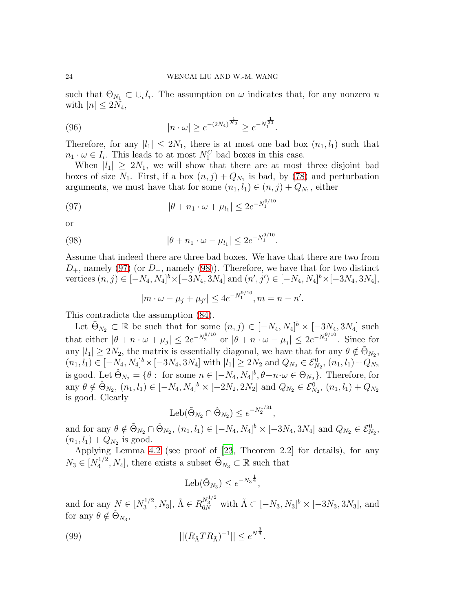such that  $\Theta_{N_1} \subset \bigcup_i I_i$ . The assumption on  $\omega$  indicates that, for any nonzero n with  $|n| \leq 2N_4$ ,

(96) 
$$
|n \cdot \omega| \ge e^{-(2N_4)^{\frac{1}{K_2}}} \ge e^{-N_1^{\frac{1}{30}}}.
$$

Therefore, for any  $|l_1| \leq 2N_1$ , there is at most one bad box  $(n_1, l_1)$  such that  $n_1 \cdot \omega \in I_i$ . This leads to at most  $N_1^C$  bad boxes in this case.

When  $|l_1| \geq 2N_1$ , we will show that there are at most three disjoint bad boxes of size  $N_1$ . First, if a box  $(n, j) + Q_{N_1}$  is bad, by [\(78\)](#page-17-2) and perturbation arguments, we must have that for some  $(n_1, l_1) \in (n, j) + Q_{N_1}$ , either

(97) 
$$
|\theta + n_1 \cdot \omega + \mu_{l_1}| \leq 2e^{-N_1^{9/10}}
$$

or

(98) 
$$
|\theta + n_1 \cdot \omega - \mu_{l_1}| \leq 2e^{-N_1^{9/10}}.
$$

Assume that indeed there are three bad boxes. We have that there are two from  $D_{+}$ , namely [\(97\)](#page-23-0) (or  $D_{-}$ , namely [\(98\)](#page-23-1)). Therefore, we have that for two distinct vertices  $(n, j) \in [-N_4, N_4]^b \times [-3N_4, 3N_4]$  and  $(n', j') \in [-N_4, N_4]^b \times [-3N_4, 3N_4]$ ,

<span id="page-23-1"></span><span id="page-23-0"></span>
$$
|m \cdot \omega - \mu_j + \mu_{j'}| \le 4e^{-N_1^{9/10}}, m = n - n'.
$$

This contradicts the assumption [\(84\)](#page-19-1).

Let  $\tilde{\Theta}_{N_2} \subset \mathbb{R}$  be such that for some  $(n, j) \in [-N_4, N_4]^b \times [-3N_4, 3N_4]$  such that either  $|\theta + n \cdot \omega + \mu_j| \leq 2e^{-N_2^{9/10}}$  or  $|\theta + n \cdot \omega - \mu_j| \leq 2e^{-N_2^{9/10}}$ . Since for any  $|l_1| \geq 2N_2$ , the matrix is essentially diagonal, we have that for any  $\theta \notin \tilde{\Theta}_{N_2}$ ,  $(n_1, l_1) \in [-N_4, N_4]^b \times [-3N_4, 3N_4]$  with  $|l_1| \ge 2N_2$  and  $Q_{N_2} \in \mathcal{E}_{N_2}^0$ ,  $(n_1, l_1) + Q_{N_2}$ is good. Let  $\hat{\Theta}_{N_2} = \{ \theta : \text{ for some } n \in [-N_4, N_4]^b, \theta + n \cdot \omega \in \Theta_{N_2} \}.$  Therefore, for any  $\theta \notin \hat{\Theta}_{N_2}$ ,  $(n_1, l_1) \in [-N_4, N_4]^b \times [-2N_2, 2N_2]$  and  $Q_{N_2} \in \mathcal{E}_{N_2}^0$ ,  $(n_1, l_1) + Q_{N_2}$ is good. Clearly

$$
Leb(\tilde{\Theta}_{N_2} \cap \hat{\Theta}_{N_2}) \le e^{-N_2^{1/31}},
$$

and for any  $\theta \notin \tilde{\Theta}_{N_2} \cap \hat{\Theta}_{N_2}$ ,  $(n_1, l_1) \in [-N_4, N_4]^b \times [-3N_4, 3N_4]$  and  $Q_{N_2} \in \mathcal{E}_{N_2}^0$ ,  $(n_1, l_1) + Q_{N_2}$  is good.

Applying Lemma [4.2](#page-19-2) (see proof of [\[23,](#page-39-10) Theorem 2.2] for details), for any  $N_3 \in [N_4^{1/2}]$  $\{\tilde{\Theta}_{N_3} \subset \mathbb{R} \text{ such that }$  and  $\tilde{\Theta}_{N_3} \subset \mathbb{R}$  such that

<span id="page-23-2"></span>
$$
Leb(\tilde{\Theta}_{N_3}) \leq e^{-N_3^{\frac{1}{4}}},
$$

and for any  $N \in [N_3^{1/2}]$  $S_3^{1/2}, N_3$ ,  $\tilde{\Lambda} \in R_{6N}^{N_3^{1/2}}$  with  $\tilde{\Lambda} \subset [-N_3, N_3]^b \times [-3N_3, 3N_3]$ , and for any  $\theta \notin \tilde{\Theta}_{N_3}$ ,

(99) 
$$
||(R_{\tilde{\Lambda}}TR_{\tilde{\Lambda}})^{-1}|| \leq e^{N^{\frac{3}{4}}}.
$$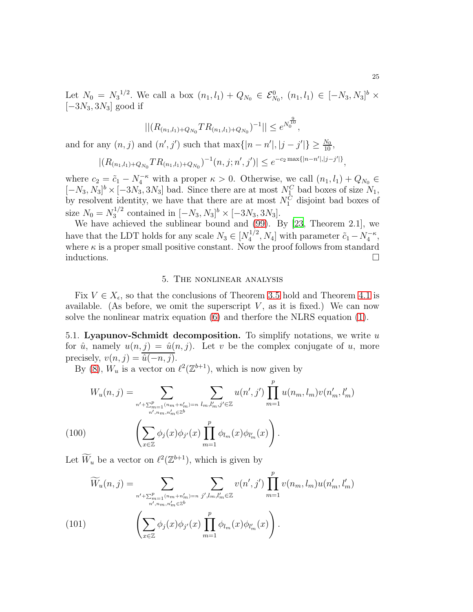Let  $N_0 = N_3^{1/2}$ . We call a box  $(n_1, l_1) + Q_{N_0} \in \mathcal{E}_{N_0}^0$ ,  $(n_1, l_1) \in [-N_3, N_3]^b \times$  $[-3N_3, 3N_3]$  good if

$$
||(R_{(n_1,l_1)+Q_{N_0}}TR_{(n_1,l_1)+Q_{N_0}})^{-1}|| \leq e^{N_0^{\frac{9}{10}}},
$$

and for any  $(n, j)$  and  $(n', j')$  such that  $\max\{|n - n'|, |j - j'|\} \ge \frac{N_0}{10}$ ,

$$
|(R_{(n_1,l_1)+Q_{N_0}}TR_{(n_1,l_1)+Q_{N_0}})^{-1}(n,j;n',j')| \le e^{-c_2 \max\{|n-n'|,|j-j'|\}},
$$

where  $c_2 = \tilde{c}_1 - N_4^{-\kappa}$  with a proper  $\kappa > 0$ . Otherwise, we call  $(n_1, l_1) + Q_{N_0} \in$  $[-N_3, N_3]^b \times [-3N_3, 3N_3]$  bad. Since there are at most  $N_1^C$  bad boxes of size  $N_1$ , by resolvent identity, we have that there are at most  $N_1^C$  disjoint bad boxes of size  $N_0 = N_3^{1/2}$  $\frac{1}{3}^{1/2}$  contained in  $[-N_3, N_3]^b \times [-3N_3, 3N_3]$ .

We have achieved the sublinear bound and [\(99\)](#page-23-2). By [\[23,](#page-39-10) Theorem 2.1], we have that the LDT holds for any scale  $N_3 \in [N_4^{1/2}]$  $\tilde{c}_1 - N_4^{-\kappa}$ , with parameter  $\tilde{c}_1 - N_4^{-\kappa}$ , where  $\kappa$  is a proper small positive constant. Now the proof follows from standard inductions.  $\Box$ 

#### 5. The nonlinear analysis

Fix  $V \in X_{\epsilon}$ , so that the conclusions of Theorem [3.5](#page-15-0) hold and Theorem [4.1](#page-18-0) is available. (As before, we omit the superscript  $V$ , as it is fixed.) We can now solve the nonlinear matrix equation [\(6\)](#page-2-1) and therfore the NLRS equation [\(1\)](#page-0-0).

5.1. Lyapunov-Schmidt decomposition. To simplify notations, we write  $u$ for  $\hat{u}$ , namely  $u(n, j) = \hat{u}(n, j)$ . Let v be the complex conjugate of u, more precisely,  $v(n, j) = \overline{\hat{u}(-n, j)}$ .

By [\(8\)](#page-3-1),  $W_u$  is a vector on  $\ell^2(\mathbb{Z}^{b+1})$ , which is now given by

$$
W_u(n,j) = \sum_{\substack{n' + \sum_{m=1}^p (n_m + n'_m) = n \\ n', n_m, n'_m \in \mathbb{Z}^b}} \sum_{l_m, l'_m, j' \in \mathbb{Z}} u(n', j') \prod_{m=1}^p u(n_m, l_m) v(n'_m, l'_m)
$$
\n
$$
\left(\sum_{x \in \mathbb{Z}} \phi_j(x) \phi_{j'}(x) \prod_{m=1}^p \phi_{l_m}(x) \phi_{l'_m}(x)\right).
$$

Let  $\widetilde{W}_u$  be a vector on  $\ell^2(\mathbb{Z}^{b+1})$ , which is given by

$$
\widetilde{W}_{u}(n,j) = \sum_{n' + \sum_{m=1}^{p} (n_m + n'_m) = n} \sum_{j',l_m,l'_m \in \mathbb{Z}} v(n',j') \prod_{m=1}^{p} v(n_m, l_m) u(n'_m, l'_m)
$$
\n(101)\n
$$
\left( \sum_{x \in \mathbb{Z}} \phi_j(x) \phi_{j'}(x) \prod_{m=1}^{p} \phi_{l_m}(x) \phi_{l'_m}(x) \right).
$$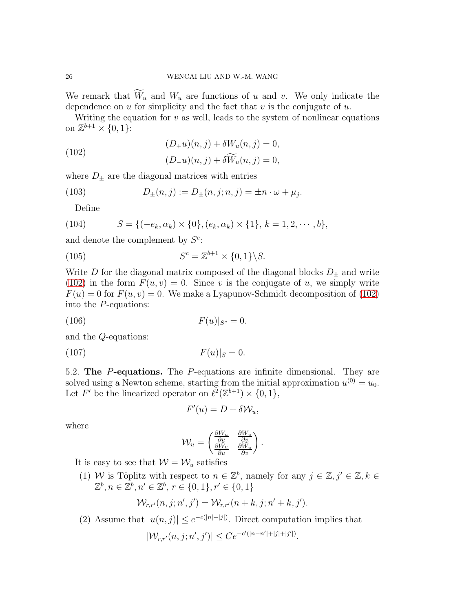We remark that  $\widetilde{W}_u$  and  $W_u$  are functions of u and v. We only indicate the dependence on u for simplicity and the fact that  $v$  is the conjugate of  $u$ .

Writing the equation for  $v$  as well, leads to the system of nonlinear equations on  $\mathbb{Z}^{b+1} \times \{0,1\}$ :

<span id="page-25-0"></span>(102) 
$$
(D_{+}u)(n,j) + \delta W_{u}(n,j) = 0,
$$

$$
(D_{-}u)(n,j) + \delta \widetilde{W}_{u}(n,j) = 0,
$$

where  $D_{\pm}$  are the diagonal matrices with entries

(103) 
$$
D_{\pm}(n,j) := D_{\pm}(n,j;n,j) = \pm n \cdot \omega + \mu_j.
$$

Define

(104) 
$$
S = \{(-e_k, \alpha_k) \times \{0\}, (e_k, \alpha_k) \times \{1\}, k = 1, 2, \cdots, b\},\
$$

and denote the complement by  $S^c$ :

(105) 
$$
S^c = \mathbb{Z}^{b+1} \times \{0, 1\} \backslash S.
$$

Write  $D$  for the diagonal matrix composed of the diagonal blocks  $D_{\pm}$  and write [\(102\)](#page-25-0) in the form  $F(u, v) = 0$ . Since v is the conjugate of u, we simply write  $F(u) = 0$  for  $F(u, v) = 0$ . We make a Lyapunov-Schmidt decomposition of [\(102\)](#page-25-0) into the P-equations:

(106) 
$$
F(u)|_{S^c} = 0.
$$

and the Q-equations:

$$
(107) \t\t\t F(u)|_S = 0.
$$

5.2. The P-equations. The P-equations are infinite dimensional. They are solved using a Newton scheme, starting from the initial approximation  $u^{(0)} = u_0$ . Let F' be the linearized operator on  $\ell^2(\mathbb{Z}^{b+1}) \times \{0,1\},\$ 

$$
F'(u) = D + \delta \mathcal{W}_u,
$$

where

$$
\mathcal{W}_u = \begin{pmatrix} \frac{\partial W_u}{\partial u} & \frac{\partial W_u}{\partial v} \\ \frac{\partial W_u}{\partial u} & \frac{\partial W_u}{\partial v} \end{pmatrix}.
$$

It is easy to see that  $W = W_u$  satisfies

(1) W is Töplitz with respect to  $n \in \mathbb{Z}^b$ , namely for any  $j \in \mathbb{Z}, j' \in \mathbb{Z}, k \in \mathbb{Z}$  $\mathbb{Z}^b, n \in \mathbb{Z}^b, n' \in \mathbb{Z}^b, r \in \{0, 1\}, r' \in \{0, 1\}$ 

$$
\mathcal{W}_{r,r'}(n,j;n',j') = \mathcal{W}_{r,r'}(n+k,j;n'+k,j').
$$

(2) Assume that  $|u(n, j)| \leq e^{-c(|n|+|j|)}$ . Direct computation implies that

$$
|\mathcal{W}_{r,r'}(n,j;n',j')| \leq Ce^{-c'(|n-n'|+|j|+|j'|)}.
$$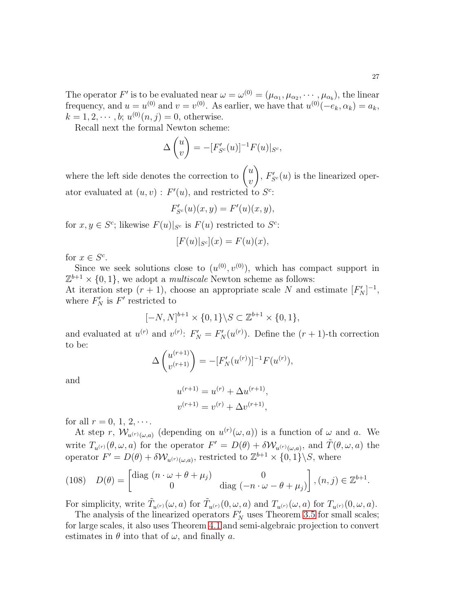The operator F' is to be evaluated near  $\omega = \omega^{(0)} = (\mu_{\alpha_1}, \mu_{\alpha_2}, \cdots, \mu_{\alpha_b})$ , the linear frequency, and  $u = u^{(0)}$  and  $v = v^{(0)}$ . As earlier, we have that  $u^{(0)}(-e_k, \alpha_k) = a_k$ ,  $k = 1, 2, \dots, b; u^{(0)}(n, j) = 0$ , otherwise.

Recall next the formal Newton scheme:

$$
\Delta \begin{pmatrix} u \\ v \end{pmatrix} = -[F'_{S^c}(u)]^{-1} F(u)|_{S^c},
$$

where the left side denotes the correction to  $\begin{pmatrix} u \\ v \end{pmatrix}$  $\overline{v}$  $\overline{\phantom{0}}$ ,  $F'_{S^c}(u)$  is the linearized operator evaluated at  $(u, v)$ :  $F'(u)$ , and restricted to  $S^c$ :

$$
F_{S^c}'(u)(x,y) = F'(u)(x,y),
$$

for  $x, y \in S^c$ ; likewise  $F(u)|_{S^c}$  is  $F(u)$  restricted to  $S^c$ :

$$
[F(u)|_{S^c}](x) = F(u)(x),
$$

for  $x \in S^c$ .

Since we seek solutions close to  $(u^{(0)}, v^{(0)})$ , which has compact support in  $\mathbb{Z}^{b+1} \times \{0,1\}$ , we adopt a *multiscale* Newton scheme as follows: At iteration step  $(r + 1)$ , choose an appropriate scale N and estimate  $[F'_N]^{-1}$ , where  $F'_N$  is  $F'$  restricted to

$$
[-N, N]^{b+1} \times \{0, 1\} \backslash S \subset \mathbb{Z}^{b+1} \times \{0, 1\},\
$$

and evaluated at  $u^{(r)}$  and  $v^{(r)}$ :  $F'_N = F'_N(u^{(r)})$ . Define the  $(r + 1)$ -th correction to be:

$$
\Delta \begin{pmatrix} u^{(r+1)} \\ v^{(r+1)} \end{pmatrix} = -[F'_N(u^{(r)})]^{-1}F(u^{(r)}),
$$

and

$$
u^{(r+1)} = u^{(r)} + \Delta u^{(r+1)},
$$
  

$$
v^{(r+1)} = v^{(r)} + \Delta v^{(r+1)},
$$

for all  $r = 0, 1, 2, \cdots$ .

At step r,  $\mathcal{W}_{u^{(r)}(\omega,a)}$  (depending on  $u^{(r)}(\omega,a)$ ) is a function of  $\omega$  and a. We write  $T_{u^{(r)}}(\theta,\omega,a)$  for the operator  $F' = D(\theta) + \delta \mathcal{W}_{u^{(r)}(\omega,a)}$ , and  $\tilde{T}(\theta,\omega,a)$  the operator  $F' = D(\theta) + \delta \mathcal{W}_{u^{(r)}(\omega, a)}$ , restricted to  $\mathbb{Z}^{b+1} \times \{0, 1\} \backslash S$ , where

(108) 
$$
D(\theta) = \begin{bmatrix} \text{diag } (n \cdot \omega + \theta + \mu_j) & 0 \\ 0 & \text{diag } (-n \cdot \omega - \theta + \mu_j) \end{bmatrix}, (n, j) \in \mathbb{Z}^{b+1}.
$$

For simplicity, write  $\tilde{T}_{u^{(r)}}(\omega, a)$  for  $\tilde{T}_{u^{(r)}}(0, \omega, a)$  and  $T_{u^{(r)}}(\omega, a)$  for  $T_{u^{(r)}}(0, \omega, a)$ .

The analysis of the linearized operators  $F'_{N}$  uses Theorem [3.5](#page-15-0) for small scales; for large scales, it also uses Theorem [4.1](#page-18-0) and semi-algebraic projection to convert estimates in  $\theta$  into that of  $\omega$ , and finally a.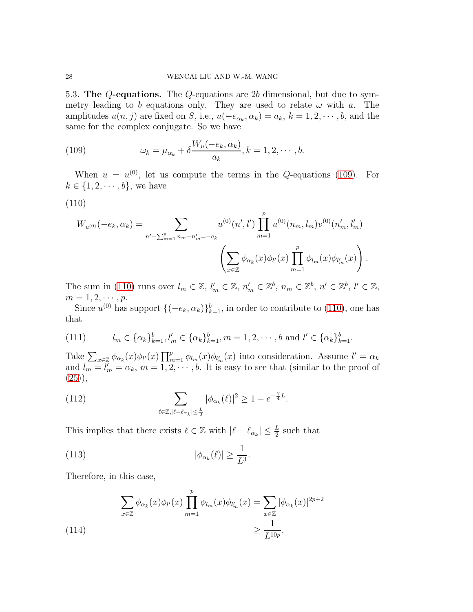5.3. The Q-equations. The Q-equations are 2b dimensional, but due to symmetry leading to b equations only. They are used to relate  $\omega$  with a. The amplitudes  $u(n, j)$  are fixed on S, i.e.,  $u(-e_{\alpha_k}, \alpha_k) = a_k$ ,  $k = 1, 2, \dots, b$ , and the same for the complex conjugate. So we have

<span id="page-27-0"></span>(109) 
$$
\omega_k = \mu_{\alpha_k} + \delta \frac{W_u(-e_k, \alpha_k)}{a_k}, k = 1, 2, \cdots, b.
$$

When  $u = u^{(0)}$ , let us compute the terms in the Q-equations [\(109\)](#page-27-0). For  $k \in \{1, 2, \dots, b\}$ , we have

<span id="page-27-1"></span>
$$
(110)
$$

$$
W_{u^{(0)}}(-e_k, \alpha_k) = \sum_{n' + \sum_{m=1}^p n_m - n'_m = -e_k} u^{(0)}(n', l') \prod_{m=1}^p u^{(0)}(n_m, l_m) v^{(0)}(n'_m, l'_m)
$$

$$
\left(\sum_{x \in \mathbb{Z}} \phi_{\alpha_k}(x) \phi_{l'}(x) \prod_{m=1}^p \phi_{l_m}(x) \phi_{l'_m}(x)\right).
$$

The sum in [\(110\)](#page-27-1) runs over  $l_m \in \mathbb{Z}$ ,  $l'_m \in \mathbb{Z}$ ,  $n'_m \in \mathbb{Z}^b$ ,  $n_m \in \mathbb{Z}^b$ ,  $n' \in \mathbb{Z}^b$ ,  $l' \in \mathbb{Z}$ ,  $m = 1, 2, \cdots, p.$ 

Since  $u^{(0)}$  has support  $\{(-e_k, \alpha_k)\}_{k=1}^b$ , in order to contribute to [\(110\)](#page-27-1), one has that

<span id="page-27-2"></span>(111) 
$$
l_m \in {\alpha_k}_{k=1}^b, l'_m \in {\alpha_k}_{k=1}^b, m = 1, 2, \cdots, b \text{ and } l' \in {\alpha_k}_{k=1}^b.
$$

Take  $\sum_{x\in\mathbb{Z}}\phi_{\alpha_k}(x)\phi_{l'}(x)\prod_{m=1}^p\phi_{l_m}(x)\phi_{l'_m}(x)$  into consideration. Assume  $l'=\alpha_k$ and  $l_m = l'_m = \alpha_k$ ,  $m = 1, 2, \cdots, b$ . It is easy to see that (similar to the proof of  $(25)$ ,

(112) 
$$
\sum_{\ell \in \mathbb{Z}, |\ell - \ell_{\alpha_k}| \leq \frac{L}{2}} |\phi_{\alpha_k}(\ell)|^2 \geq 1 - e^{-\frac{\gamma}{4}L}.
$$

This implies that there exists  $\ell \in \mathbb{Z}$  with  $|\ell - \ell_{\alpha_k}| \leq \frac{L}{2}$  such that

(113) 
$$
|\phi_{\alpha_k}(\ell)| \geq \frac{1}{L^3}.
$$

Therefore, in this case,

<span id="page-27-3"></span>(114)  

$$
\sum_{x \in \mathbb{Z}} \phi_{\alpha_k}(x) \phi_{l'}(x) \prod_{m=1}^p \phi_{l_m}(x) \phi_{l'_m}(x) = \sum_{x \in \mathbb{Z}} |\phi_{\alpha_k}(x)|^{2p+2}
$$

$$
\geq \frac{1}{L^{10p}}.
$$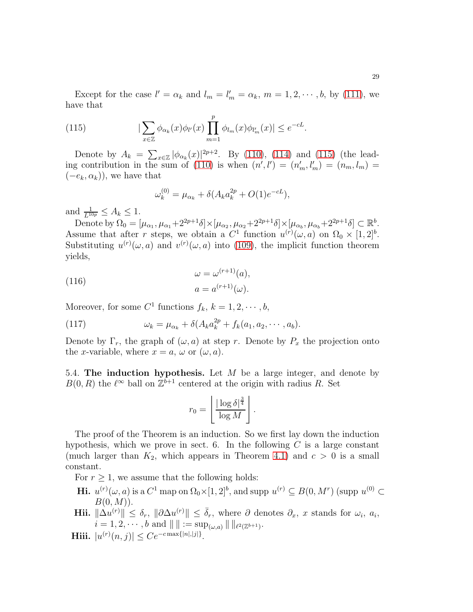Except for the case  $l' = \alpha_k$  and  $l_m = l'_m = \alpha_k$ ,  $m = 1, 2, \dots, b$ , by [\(111\)](#page-27-2), we have that

(115) 
$$
|\sum_{x \in \mathbb{Z}} \phi_{\alpha_k}(x) \phi_{l'}(x) \prod_{m=1}^p \phi_{l_m}(x) \phi_{l'_m}(x)| \le e^{-cL}.
$$

Denote by  $A_k = \sum_{x \in \mathbb{Z}} |\phi_{\alpha_k}(x)|^{2p+2}$ . By [\(110\)](#page-27-1), [\(114\)](#page-27-3) and [\(115\)](#page-28-0) (the lead-ing contribution in the sum of [\(110\)](#page-27-1) is when  $(n', l') = (n'_m, l'_m) = (n_m, l_m) =$  $(-e_k, \alpha_k)$ , we have that

<span id="page-28-0"></span>
$$
\omega_k^{(0)} = \mu_{\alpha_k} + \delta(A_k a_k^{2p} + O(1)e^{-cL}),
$$

and  $\frac{1}{L^{10p}} \leq A_k \leq 1$ .

Denote by  $\Omega_0 = [\mu_{\alpha_1}, \mu_{\alpha_1} + 2^{2p+1}\delta] \times [\mu_{\alpha_2}, \mu_{\alpha_2} + 2^{2p+1}\delta] \times [\mu_{\alpha_b}, \mu_{\alpha_b} + 2^{2p+1}\delta] \subset \mathbb{R}^b$ . Assume that after r steps, we obtain a  $C^1$  function  $u^{(r)}(\omega, a)$  on  $\Omega_0 \times [1, 2]^b$ . Substituting  $u^{(r)}(\omega, a)$  and  $v^{(r)}(\omega, a)$  into [\(109\)](#page-27-0), the implicit function theorem yields,

(116) 
$$
\omega = \omega^{(r+1)}(a),
$$

$$
a = a^{(r+1)}(\omega).
$$

Moreover, for some  $C^1$  functions  $f_k$ ,  $k = 1, 2, \dots, b$ ,

(117) 
$$
\omega_k = \mu_{\alpha_k} + \delta(A_k a_k^{2p} + f_k(a_1, a_2, \cdots, a_b).
$$

Denote by  $\Gamma_r$ , the graph of  $(\omega, a)$  at step r. Denote by  $P_x$  the projection onto the x-variable, where  $x = a, \omega$  or  $(\omega, a)$ .

5.4. The induction hypothesis. Let  $M$  be a large integer, and denote by  $B(0, R)$  the  $\ell^{\infty}$  ball on  $\mathbb{Z}^{b+1}$  centered at the origin with radius R. Set

$$
r_0 = \left\lfloor \frac{|\log \delta|^{\frac{3}{4}}}{\log M} \right\rfloor.
$$

The proof of the Theorem is an induction. So we first lay down the induction hypothesis, which we prove in sect. 6. In the following  $C$  is a large constant (much larger than  $K_2$ , which appears in Theorem [4.1\)](#page-18-0) and  $c > 0$  is a small constant.

For  $r \geq 1$ , we assume that the following holds:

- **Hi.**  $u^{(r)}(\omega, a)$  is a  $C^1$  map on  $\Omega_0 \times [1, 2]^b$ , and supp  $u^{(r)} \subseteq B(0, M^r)$  (supp  $u^{(0)} \subset$  $B(0, M)$ .
- Hii.  $\|\Delta u^{(r)}\| \leq \delta_r$ ,  $\|\partial \Delta u^{(r)}\| \leq \bar{\delta}_r$ , where  $\partial$  denotes  $\partial_x$ , x stands for  $\omega_i$ ,  $a_i$ ,  $i = 1, 2, \cdots, b \text{ and } || || := \sup_{(\omega, a)} || ||_{\ell^2(\mathbb{Z}^{b+1})}.$
- **Hiii.**  $|u^{(r)}(n,j)| \leq Ce^{-c \max\{|n|,|j|\}}$ .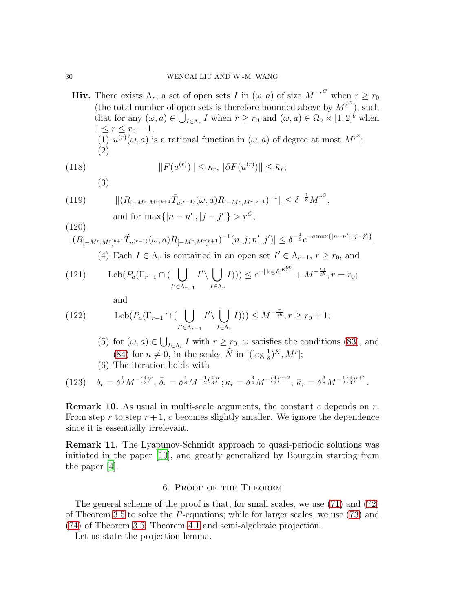Hiv. There exists  $\Lambda_r$ , a set of open sets I in  $(\omega, a)$  of size  $M^{-r^C}$  when  $r \geq r_0$ (the total number of open sets is therefore bounded above by  $M^{r^C}$ ), such that for any  $(\omega, a) \in \overline{\bigcup_{I \in \Lambda_r} I}$  when  $r \geq r_0$  and  $(\omega, a) \in \Omega_0 \times [1, 2]^b$  when  $1 \leq r \leq r_0 - 1$ , (1)  $u^{(r)}(\omega, a)$  is a rational function in  $(\omega, a)$  of degree at most  $M^{r^3}$ ; (2)

(118) 
$$
||F(u^{(r)})|| \leq \kappa_r, ||\partial F(u^{(r)})|| \leq \bar{\kappa}_r;
$$

<span id="page-29-3"></span> $(9)$ 

$$
|| (B_{[-M^r, M^r]^{b+1}} \tilde{T}_{u^{(r-1)}}(\omega, a) R_{[-M^r, M^r]^{b+1}})^{-1} || \leq \delta^{-\frac{1}{8}} M^{r^C},
$$

(119) 
$$
\| (R_{[-M^r, M^r]^{b+1}} T_{u^{(r-1)}}(\omega, a) R_{[-M^r, M^r]^{b+1}})^{-1} \| \leq \delta^{-\frac{1}{8}} M^{r^{c}}
$$
  
and for  $\max\{|n - n'|, |j - j'|\} > r^{C}$ ,

<span id="page-29-4"></span>
$$
\frac{(120)}{|(R_{[-M^r,M^r]^{b+1}}\tilde{T}_{u^{(r-1)}}(\omega,a)R_{[-M^r,M^r]^{b+1}})^{-1}(n,j;n',j')|} \leq \delta^{-\frac{1}{8}}e^{-c\max\{|n-n'|,|j-j'|\}}.
$$

<span id="page-29-1"></span>(4) Each 
$$
I \in \Lambda_r
$$
 is contained in an open set  $I' \in \Lambda_{r-1}$ ,  $r \ge r_0$ , and

(121) 
$$
\operatorname{Leb}(P_a(\Gamma_{r-1} \cap (\bigcup_{I' \in \Lambda_{r-1}} I' \setminus \bigcup_{I \in \Lambda_r} I))) \leq e^{-|\log \delta|^{K_1^{90}}} + M^{-\frac{r_0}{2^b}}, r = r_0;
$$

<span id="page-29-2"></span>and

(122) 
$$
\operatorname{Leb}(P_a(\Gamma_{r-1} \cap (\bigcup_{I' \in \Lambda_{r-1}} I' \setminus \bigcup_{I \in \Lambda_r} I))) \leq M^{-\frac{r}{2^b}}, r \geq r_0 + 1;
$$

- (5) for  $(\omega, a) \in \bigcup_{I \in \Lambda_r} I$  with  $r \ge r_0$ ,  $\omega$  satisfies the conditions [\(83\)](#page-19-0), and [\(84\)](#page-19-1) for  $n \neq 0$ , in the scales  $\tilde{N}$  in  $[(\log \frac{1}{\delta})^K, M^r]$ ;
- <span id="page-29-5"></span>(6) The iteration holds with

$$
(123) \quad \delta_r = \delta^{\frac{1}{2}} M^{-(\frac{4}{3})^r}, \quad \bar{\delta}_r = \delta^{\frac{1}{8}} M^{-\frac{1}{2}(\frac{4}{3})^r}; \quad \kappa_r = \delta^{\frac{3}{4}} M^{-(\frac{4}{3})^{r+2}}, \quad \bar{\kappa}_r = \delta^{\frac{3}{8}} M^{-\frac{1}{2}(\frac{4}{3})^{r+2}}.
$$

**Remark 10.** As usual in multi-scale arguments, the constant c depends on  $r$ . From step r to step  $r+1$ , c becomes slightly smaller. We ignore the dependence since it is essentially irrelevant.

Remark 11. The Lyapunov-Schmidt approach to quasi-periodic solutions was initiated in the paper [\[10](#page-38-13)], and greatly generalized by Bourgain starting from the paper [\[4\]](#page-38-14).

#### 6. Proof of the Theorem

<span id="page-29-0"></span>The general scheme of the proof is that, for small scales, we use [\(71\)](#page-16-0) and [\(72\)](#page-16-1) of Theorem [3.5](#page-15-0) to solve the P-equations; while for larger scales, we use [\(73\)](#page-16-2) and [\(74\)](#page-16-3) of Theorem [3.5,](#page-15-0) Theorem [4.1](#page-18-0) and semi-algebraic projection.

Let us state the projection lemma.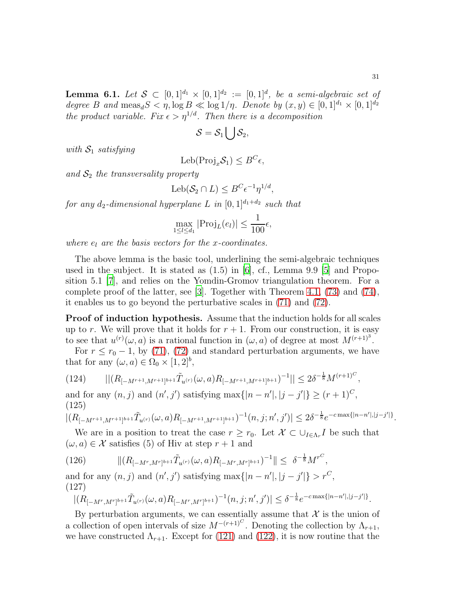<span id="page-30-0"></span>**Lemma 6.1.** Let  $S \subset [0,1]^{d_1} \times [0,1]^{d_2} := [0,1]^d$ , be a semi-algebraic set of degree B and  $\text{meas}_d S < \eta$ ,  $\log B \ll \log 1/\eta$ . Denote by  $(x, y) \in [0, 1]^{d_1} \times [0, 1]^{d_2}$ the product variable. Fix  $\epsilon > \eta^{1/d}$ . Then there is a decomposition

$$
\mathcal{S}=\mathcal{S}_1\bigcup\mathcal{S}_2,
$$

with  $S_1$  satisfying

$$
Leb(Proj_x S_1) \leq B^C \epsilon,
$$

and  $S_2$  the transversality property

$$
Leb(S_2 \cap L) \leq B^C \epsilon^{-1} \eta^{1/d},
$$

for any  $d_2$ -dimensional hyperplane L in  $[0, 1]^{d_1+d_2}$  such that

$$
\max_{1 \leq l \leq d_1} |\text{Proj}_L(e_l)| \leq \frac{1}{100} \epsilon,
$$

where  $e_l$  are the basis vectors for the x-coordinates.

The above lemma is the basic tool, underlining the semi-algebraic techniques used in the subject. It is stated as  $(1.5)$  in  $[6]$ , cf., Lemma 9.9  $[5]$  and Proposition 5.1 [\[7](#page-38-12)], and relies on the Yomdin-Gromov triangulation theorem. For a complete proof of the latter, see [\[3](#page-37-2)]. Together with Theorem [4.1,](#page-18-0) [\(73\)](#page-16-2) and [\(74\)](#page-16-3), it enables us to go beyond the perturbative scales in [\(71\)](#page-16-0) and [\(72\)](#page-16-1).

Proof of induction hypothesis. Assume that the induction holds for all scales up to r. We will prove that it holds for  $r + 1$ . From our construction, it is easy to see that  $u^{(r)}(\omega, a)$  is a rational function in  $(\omega, a)$  of degree at most  $M^{(r+1)^3}$ .

For  $r \leq r_0 - 1$ , by [\(71\)](#page-16-0), [\(72\)](#page-16-1) and standard perturbation arguments, we have that for any  $(\omega, a) \in \Omega_0 \times [1, 2]^b$ ,

$$
(124) \qquad ||(R_{[-M^{r+1},M^{r+1}]^{b+1}}\tilde{T}_{u^{(r)}}(\omega,a)R_{[-M^{r+1},M^{r+1}]^{b+1}})^{-1}|| \leq 2\delta^{-\frac{1}{8}}M^{(r+1)^{C}},
$$

and for any  $(n, j)$  and  $(n', j')$  satisfying  $\max\{|n - n'|, |j - j'|\} \ge (r + 1)^C$ , (125)

$$
|(R_{[-M^{r+1},M^{r+1}]^{b+1}}\tilde{T}_{u^{(r)}}(\omega,a)R_{[-M^{r+1},M^{r+1}]^{b+1}})^{-1}(n,j;n',j')| \leq 2\delta^{-\frac{1}{8}}e^{-c\max\{|n-n'|,|j-j'|\}}.
$$

We are in a position to treat the case  $r \geq r_0$ . Let  $\mathcal{X} \subset \bigcup_{I \in \Lambda_r} I$  be such that  $(\omega, a) \in \mathcal{X}$  satisfies (5) of Hiv at step  $r + 1$  and

(126) 
$$
\| (R_{[-M^r, M^r]^{b+1}} \tilde{T}_{u^{(r)}}(\omega, a) R_{[-M^r, M^r]^{b+1}})^{-1} \| \leq \delta^{-\frac{1}{8}} M^{r^C},
$$

and for any  $(n, j)$  and  $(n', j')$  satisfying  $\max\{|n - n'|, |j - j'|\} > r^C$ , (127)

$$
|(R_{[-M^r, M^r]^{b+1}}\tilde{T}_{u^{(r)}}(\omega, a)R_{[-M^r, M^r]^{b+1}})^{-1}(n, j; n', j')| \leq \delta^{-\frac{1}{8}}e^{-c \max\{|n-n'|, |j-j'|\}}.
$$

By perturbation arguments, we can essentially assume that  $\mathcal X$  is the union of a collection of open intervals of size  $M^{-(r+1)^C}$ . Denoting the collection by  $\Lambda_{r+1}$ , we have constructed  $\Lambda_{r+1}$ . Except for [\(121\)](#page-29-1) and [\(122\)](#page-29-2), it is now routine that the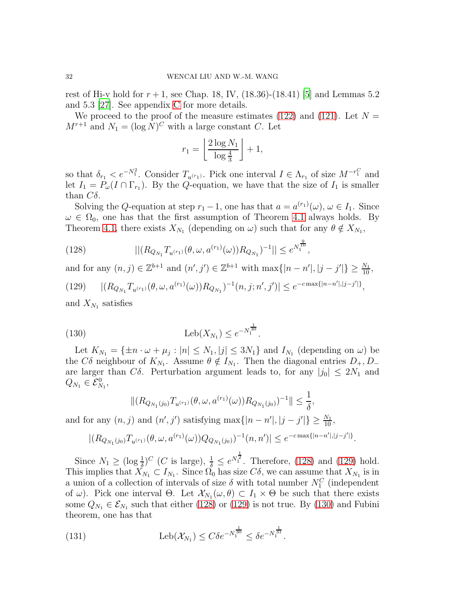rest of Hi-v hold for  $r + 1$ , see Chap. 18, IV, (18.36)-(18.41) [\[5\]](#page-38-10) and Lemmas 5.2 and 5.3 [\[27](#page-39-6)]. See appendix [C](#page-36-0) for more details.

We proceed to the proof of the measure estimates [\(122\)](#page-29-2) and [\(121\)](#page-29-1). Let  $N =$  $M^{r+1}$  and  $N_1 = (\log N)^C$  with a large constant C. Let

$$
r_1 = \left\lfloor \frac{2 \log N_1}{\log \frac{4}{3}} \right\rfloor + 1,
$$

so that  $\delta_{r_1} < e^{-N_1^2}$ . Consider  $T_{u^{(r_1)}}$ . Pick one interval  $I \in \Lambda_{r_1}$  of size  $M^{-r_1^C}$  and let  $I_1 = P_\omega(I \cap \Gamma_{r_1})$ . By the Q-equation, we have that the size of  $I_1$  is smaller than  $C\delta$ .

Solving the Q-equation at step  $r_1 - 1$ , one has that  $a = a^{(r_1)}(\omega)$ ,  $\omega \in I_1$ . Since  $\omega \in \Omega_0$ , one has that the first assumption of Theorem [4.1](#page-18-0) always holds. By Theorem [4.1,](#page-18-0) there exists  $X_{N_1}$  (depending on  $\omega$ ) such that for any  $\theta \notin X_{N_1}$ ,

<span id="page-31-0"></span>(128) 
$$
|| (R_{Q_{N_1}} T_{u^{(r_1)}}(\theta, \omega, a^{(r_1)}(\omega)) R_{Q_{N_1}})^{-1} || \leq e^{N_1^{\frac{9}{10}}},
$$

<span id="page-31-1"></span>and for any  $(n, j) \in \mathbb{Z}^{b+1}$  and  $(n', j') \in \mathbb{Z}^{b+1}$  with  $\max\{|n - n'|, |j - j'|\} \ge \frac{N_1}{10}$ , (129)  $|(R_{Q_{N_1}}T_{u^{(r_1)}}(\theta,\omega,a^{(r_1)}(\omega))R_{Q_{N_1}})^{-1}(n,j;n',j')| \leq e^{-c \max\{|n-n'|,|j-j'|\}},$ 

and  $X_{N_1}$  satisfies

(130) 
$$
Leb(X_{N_1}) \leq e^{-N_1^{\frac{1}{30}}}.
$$

Let  $K_{N_1} = {\pm n \cdot \omega + \mu_j : |n| \le N_1, |j| \le 3N_1}$  and  $I_{N_1}$  (depending on  $\omega$ ) be the  $C\delta$  neighbour of  $K_{N_1}$ . Assume  $\theta \notin I_{N_1}$ . Then the diagonal entries  $D_+, D_$ are larger than  $C\delta$ . Perturbation argument leads to, for any  $|j_0| \leq 2N_1$  and  $Q_{N_1}\in \mathcal E_{N_1}^0,$ 

<span id="page-31-2"></span>
$$
\|(R_{Q_{N_1}(j_0)}T_{u^{(r_1)}}(\theta,\omega,a^{(r_1)}(\omega))R_{Q_{N_1}(j_0)})^{-1}\| \leq \frac{1}{\delta},
$$

and for any  $(n, j)$  and  $(n', j')$  satisfying  $\max\{|n - n'|, |j - j'|\} \ge \frac{N_1}{10}$ ,

$$
|(R_{Q_{N_1}(j_0)}T_{u^{(r_1)}}(\theta,\omega,a^{(r_1)}(\omega))Q_{Q_{N_1}(j_0)})^{-1}(n,n')| \leq e^{-c \max\{|n-n'|,|j-j'|\}}.
$$

Since  $N_1 \geq (\log \frac{1}{\delta})^C$  (*C* is large),  $\frac{1}{\delta} \leq e^{N_1^{\frac{1}{2}}}$ . Therefore, [\(128\)](#page-31-0) and [\(129\)](#page-31-1) hold. This implies that  $X_{N_1} \subset I_{N_1}$ . Since  $\Omega_0$  has size  $C\delta$ , we can assume that  $X_{N_1}$  is in a union of a collection of intervals of size  $\delta$  with total number  $N_1^C$  (independent of  $\omega$ ). Pick one interval  $\Theta$ . Let  $\mathcal{X}_{N_1}(\omega,\theta) \subset I_1 \times \Theta$  be such that there exists some  $Q_{N_1} \in \mathcal{E}_{N_1}$  such that either [\(128\)](#page-31-0) or [\(129\)](#page-31-1) is not true. By [\(130\)](#page-31-2) and Fubini theorem, one has that

(131) 
$$
\text{Leb}(\mathcal{X}_{N_1}) \leq C\delta e^{-N_1^{\frac{1}{30}}} \leq \delta e^{-N_1^{\frac{1}{31}}}.
$$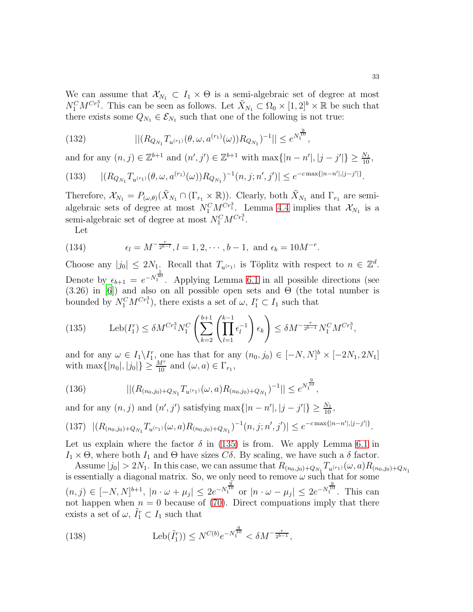We can assume that  $\mathcal{X}_{N_1} \subset I_1 \times \Theta$  is a semi-algebraic set of degree at most  $N_1^C M^{Cr_1^3}$ . This can be seen as follows. Let  $\tilde{X}_{N_1} \subset \Omega_0 \times [1,2]^b \times \mathbb{R}$  be such that there exists some  $Q_{N_1} \in \mathcal{E}_{N_1}$  such that one of the following is not true:

(132) 
$$
|| (R_{Q_{N_1}} T_{u^{(r_1)}}(\theta, \omega, a^{(r_1)}(\omega)) R_{Q_{N_1}})^{-1} || \leq e^{N_1^{\frac{9}{10}}},
$$

and for any  $(n, j) \in \mathbb{Z}^{b+1}$  and  $(n', j') \in \mathbb{Z}^{b+1}$  with  $\max\{|n - n'|, |j - j'|\} \ge \frac{N_1}{10}$ ,

(133) 
$$
|(R_{Q_{N_1}}T_{u^{(r_1)}}(\theta,\omega,a^{(r_1)}(\omega))R_{Q_{N_1}})^{-1}(n,j;n',j')| \leq e^{-c \max\{|n-n'|,|j-j'|\}}.
$$

Therefore,  $\mathcal{X}_{N_1} = P_{(\omega,\theta)}(\tilde{X}_{N_1} \cap (\Gamma_{r_1} \times \mathbb{R}))$ . Clearly, both  $\tilde{X}_{N_1}$  and  $\Gamma_{r_1}$  are semialgebraic sets of degree at most  $N_1^C M_{\tilde{q}}^{Cr_1^3}$ . Lemma [4.4](#page-20-1) implies that  $\mathcal{X}_{N_1}$  is a semi-algebraic set of degree at most  $N_1^C M^{Cr_1^3}$ .

Let

(134) 
$$
\epsilon_l = M^{-\frac{r}{2^{b-l}}}, l = 1, 2, \cdots, b-1, \text{ and } \epsilon_b = 10M^{-r}.
$$

Choose any  $|j_0| \leq 2N_1$ . Recall that  $T_{u^{(r_1)}}$  is Töplitz with respect to  $n \in \mathbb{Z}^d$ . Denote by  $\epsilon_{b+1} = e^{-N_1^{\frac{1}{40}}}$ . Applying Lemma [6.1](#page-30-0) in all possible directions (see (3.26) in [\[6\]](#page-38-15)) and also on all possible open sets and  $\dot{\Theta}$  (the total number is bounded by  $N_1^C M^{Cr_1^3}$ , there exists a set of  $\omega$ ,  $I_1^r \subset I_1$  such that

<span id="page-32-0"></span>(135) 
$$
\text{Leb}(I_1^r) \leq \delta M^{Cr_1^3} N_1^C \left( \sum_{k=2}^{b+1} \left( \prod_{l=1}^{k-1} \epsilon_l^{-1} \right) \epsilon_k \right) \leq \delta M^{-\frac{r}{2^{b-1}}} N_1^C M^{Cr_1^3},
$$

and for any  $\omega \in I_1 \setminus I_1^r$ , one has that for any  $(n_0, j_0) \in [-N, N]^b \times [-2N_1, 2N_1]$ with max $\{|n_0|, |j_0|\} \geq \frac{M^r}{10}$  and  $(\omega, a) \in \Gamma_{r_1}$ ,

(136) 
$$
|| (R_{(n_0,j_0)+Q_{N_1}} T_{u^{(r_1)}}(\omega, a) R_{(n_0,j_0)+Q_{N_1}})^{-1} || \leq e^{N_1^{\frac{9}{10}}},
$$

and for any  $(n, j)$  and  $(n', j')$  satisfying  $\max\{|n - n'|, |j - j'|\} \ge \frac{N_1}{10}$ ,

$$
(137) \ |(R_{(n_0,j_0)+Q_{N_1}}T_{u^{(r_1)}}(\omega,a)R_{(n_0,j_0)+Q_{N_1}})^{-1}(n,j;n',j')| \leq e^{-c\max\{|n-n'|,|j-j'|\}}.
$$

Let us explain where the factor  $\delta$  in [\(135\)](#page-32-0) is from. We apply Lemma [6.1](#page-30-0) in  $I_1 \times \Theta$ , where both  $I_1$  and  $\Theta$  have sizes  $C\delta$ . By scaling, we have such a  $\delta$  factor.

Assume  $|j_0| > 2N_1$ . In this case, we can assume that  $R_{(n_0,j_0)+Q_{N_1}} T_{u^{(r_1)}}(\omega, a) R_{(n_0,j_0)+Q_{N_1}}$ is essentially a diagonal matrix. So, we only need to remove  $\omega$  such that for some  $(n, j) \in [-N, N]^{b+1}$ ,  $|n \cdot \omega + \mu_j| \leq 2e^{-N_1^{\frac{9}{10}}}$  or  $|n \cdot \omega - \mu_j| \leq 2e^{-N_1^{\frac{9}{10}}}$ . This can not happen when  $n = 0$  because of [\(70\)](#page-15-5). Direct computaions imply that there exists a set of  $\omega$ ,  $\tilde{I}_1^r \subset I_1$  such that

<span id="page-32-1"></span>(138) 
$$
\text{Leb}(\tilde{I}_1^r) \le N^{C(b)} e^{-N_1^{\frac{9}{10}}} < \delta M^{-\frac{r}{2^{b-1}}},
$$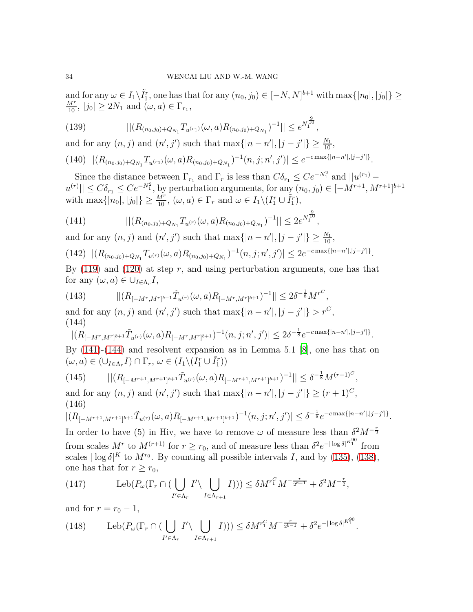and for any  $\omega \in I_1 \setminus \tilde{I}_1^r$ , one has that for any  $(n_0, j_0) \in [-N, N]^{b+1}$  with  $\max\{|n_0|, |j_0|\} \ge$  $\frac{M^r}{10}$ ,  $|j_0| \ge 2N_1$  and  $(\omega, a) \in \Gamma_{r_1}$ ,

(139) 
$$
||(R_{(n_0,j_0)+Q_{N_1}}T_{u^{(r_1)}}(\omega,a)R_{(n_0,j_0)+Q_{N_1}})^{-1}|| \leq e^{N_1^{\frac{9}{10}}},
$$

and for any  $(n, j)$  and  $(n', j')$  such that  $\max\{|n - n'|, |j - j'|\} \ge \frac{N_1}{10}$ ,

$$
(140) \ |(R_{(n_0,j_0)+Q_{N_1}}T_{u^{(r_1)}}(\omega,a)R_{(n_0,j_0)+Q_{N_1}})^{-1}(n,j;n',j')| \leq e^{-c\max\{|n-n'|,|j-j'|\}}.
$$

Since the distance between  $\Gamma_{r_1}$  and  $\Gamma_r$  is less than  $C\delta_{r_1} \leq Ce^{-N_1^2}$  and  $||u^{(r_1)} |u^{(r)}| \leq C \delta_{r_1} \leq C e^{-N_1^2}$ , by perturbation arguments, for any  $(n_0, j_0) \in [-M^{r+1}, M^{r+1}]^{b+1}$ with  $\max\{|n_0|, |j_0|\} \ge \frac{M^r}{10}$ ,  $(\omega, a) \in \Gamma_r$  and  $\omega \in I_1 \setminus (I_1^r \cup \tilde{I}_1^r)$ ,

<span id="page-33-0"></span>(141) 
$$
|| (R_{(n_0,j_0)+Q_{N_1}} T_{u^{(r)}}(\omega, a) R_{(n_0,j_0)+Q_{N_1}})^{-1} || \leq 2 e^{N_1^{\frac{9}{10}}},
$$

and for any  $(n, j)$  and  $(n', j')$  such that  $\max\{|n - n'|, |j - j'|\} \ge \frac{N_1}{10}$ ,

$$
(142)\ \ |(R_{(n_0,j_0)+Q_{N_1}}T_{u^{(r)}}(\omega,a)R_{(n_0,j_0)+Q_{N_1}})^{-1}(n,j;n',j')| \leq 2e^{-c\max\{|n-n'|,|j-j'|\}}.
$$

By  $(119)$  and  $(120)$  at step r, and using perturbation arguments, one has that for any  $(\omega, a) \in \bigcup_{I \in \Lambda_r} I$ ,

(143) 
$$
\| (R_{[-M^r, M^r]^{b+1}} \tilde{T}_{u^{(r)}}(\omega, a) R_{[-M^r, M^r]^{b+1}})^{-1} \| \leq 2\delta^{-\frac{1}{8}} M^{r^C},
$$

and for any  $(n, j)$  and  $(n', j')$  such that  $\max\{|n - n'|, |j - j'|\} > r^C$ , (144)

<span id="page-33-1"></span>
$$
|(R_{[-M^r, M^r]^{b+1}}\tilde{T}_{u^{(r)}}(\omega, a)R_{[-M^r, M^r]^{b+1}})^{-1}(n, j; n', j')| \leq 2\delta^{-\frac{1}{8}}e^{-c\max\{|n-n'|, |j-j'|\}}.
$$

By [\(141\)](#page-33-0)-[\(144\)](#page-33-1) and resolvent expansion as in Lemma 5.1 [\[8\]](#page-38-5), one has that on  $(\omega, a) \in (\cup_{I \in \Lambda_r} I) \cap \Gamma_r, \, \omega \in (I_1 \setminus (I_1^r \cup \tilde{I}_1^r))$ 

$$
(145) \qquad ||(R_{[-M^{r+1},M^{r+1}]^{b+1}}\tilde{T}_{u^{(r)}}(\omega,a)R_{[-M^{r+1},M^{r+1}]^{b+1}})^{-1}|| \leq \delta^{-\frac{1}{8}}M^{(r+1)^{C}},
$$

and for any  $(n, j)$  and  $(n', j')$  such that  $\max\{|n - n'|, |j - j'|\} \ge (r + 1)^C$ , (146)

$$
|(R_{[-M^{r+1},M^{r+1}]^{b+1}}\tilde{T}_{u^{(r)}}(\omega,a)R_{[-M^{r+1},M^{r+1}]^{b+1}})^{-1}(n,j;n',j')| \leq \delta^{-\frac{1}{8}}e^{-c\max\{|n-n'|,|j-j'|\}}.
$$

In order to have (5) in Hiv, we have to remove  $\omega$  of measure less than  $\delta^2 M^{-\frac{r}{2}}$ from scales  $M^r$  to  $M^{(r+1)}$  for  $r \geq r_0$ , and of measure less than  $\delta^2 e^{-|\log \delta|^{K_1^{90}}}$  from scales  $|\log \delta|^{K}$  to  $M^{r_0}$ . By counting all possible intervals I, and by [\(135\)](#page-32-0), [\(138\)](#page-32-1), one has that for  $r \geq r_0$ ,

(147) 
$$
\operatorname{Leb}(P_{\omega}(\Gamma_r \cap (\bigcup_{I' \in \Lambda_r} I' \setminus \bigcup_{I \in \Lambda_{r+1}} I))) \leq \delta M^{r_1^C} M^{-\frac{r}{2^{b-1}}} + \delta^2 M^{-\frac{r}{2}},
$$

and for  $r = r_0 - 1$ ,

(148) 
$$
\text{Leb}(P_{\omega}(\Gamma_r \cap (\bigcup_{I' \in \Lambda_r} I' \setminus \bigcup_{I \in \Lambda_{r+1}} I))) \leq \delta M^{r_1^C} M^{-\frac{r}{2^{b-1}}} + \delta^2 e^{-|\log \delta|^{K_1^{90}}}.
$$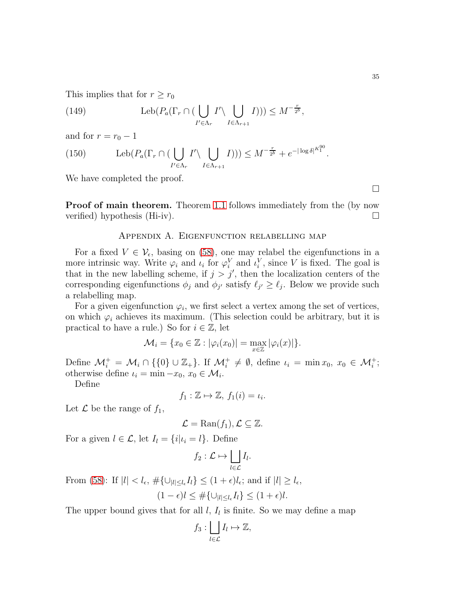This implies that for  $r \geq r_0$ 

(149) 
$$
\operatorname{Leb}(P_a(\Gamma_r \cap (\bigcup_{I' \in \Lambda_r} I' \setminus \bigcup_{I \in \Lambda_{r+1}} I))) \leq M^{-\frac{r}{2^b}},
$$

and for  $r = r_0 - 1$ 

(150) 
$$
\operatorname{Leb}(P_a(\Gamma_r \cap (\bigcup_{I' \in \Lambda_r} I' \setminus \bigcup_{I \in \Lambda_{r+1}} I))) \leq M^{-\frac{r}{2^b}} + e^{-|\log \delta|^{K_1^{90}}}.
$$

We have completed the proof.

<span id="page-34-0"></span>**Proof of main theorem.** Theorem [1.1](#page-1-1) follows immediately from the (by now verified) hypothesis (Hi-iv).

#### Appendix A. Eigenfunction relabelling map

For a fixed  $V \in \mathcal{V}_{\epsilon}$ , basing on [\(58\)](#page-13-1), one may relabel the eigenfunctions in a more intrinsic way. Write  $\varphi_i$  and  $\iota_i$  for  $\varphi_i^V$  and  $\iota_i^V$ , since V is fixed. The goal is that in the new labelling scheme, if  $j > j'$ , then the localization centers of the corresponding eigenfunctions  $\phi_j$  and  $\phi_{j'}$  satisfy  $\ell_{j'} \geq \ell_j$ . Below we provide such a relabelling map.

For a given eigenfunction  $\varphi_i$ , we first select a vertex among the set of vertices, on which  $\varphi_i$  achieves its maximum. (This selection could be arbitrary, but it is practical to have a rule.) So for  $i \in \mathbb{Z}$ , let

$$
\mathcal{M}_i = \{x_0 \in \mathbb{Z} : |\varphi_i(x_0)| = \max_{x \in \mathbb{Z}} |\varphi_i(x)|\}.
$$

Define  $\mathcal{M}_{i}^{+} = \mathcal{M}_{i} \cap \{\{0\} \cup \mathbb{Z}_{+}\}\$ . If  $\mathcal{M}_{i}^{+} \neq \emptyset$ , define  $\iota_{i} = \min x_{0}, x_{0} \in \mathcal{M}_{i}^{+}$ ; otherwise define  $\iota_i = \min -x_0, x_0 \in \mathcal{M}_i$ .

Define

$$
f_1: \mathbb{Z} \mapsto \mathbb{Z}, \, f_1(i) = \iota_i.
$$

Let  $\mathcal L$  be the range of  $f_1$ ,

$$
\mathcal{L} = \text{Ran}(f_1), \mathcal{L} \subseteq \mathbb{Z}.
$$

For a given  $l \in \mathcal{L}$ , let  $I_l = \{i | \iota_i = l\}$ . Define

$$
f_2: \mathcal{L} \mapsto \bigsqcup_{l \in \mathcal{L}} I_l.
$$

From [\(58\)](#page-13-1): If  $|l| < l_{\epsilon}$ ,  $\#\{\cup_{|l| \le l_{\epsilon}} I_l\} \le (1+\epsilon)l_{\epsilon}$ ; and if  $|l| \ge l_{\epsilon}$ ,

$$
(1 - \epsilon)l \leq \#\{\cup_{|l| \leq l_{\epsilon}} I_l\} \leq (1 + \epsilon)l.
$$

The upper bound gives that for all  $l, I_l$  is finite. So we may define a map

$$
f_3: \bigsqcup_{l \in \mathcal{L}} I_l \mapsto \mathbb{Z},
$$

 $\Box$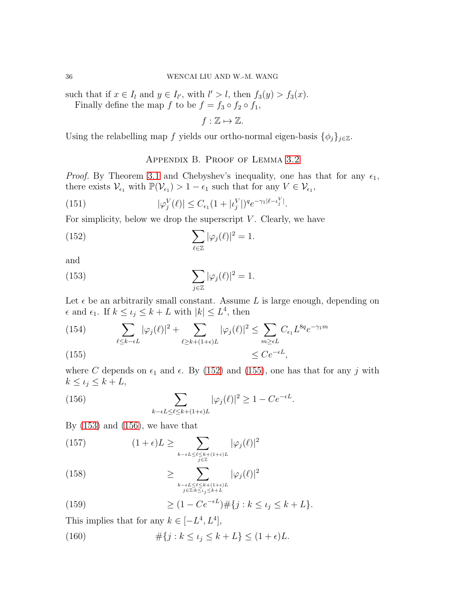such that if  $x \in I_l$  and  $y \in I_{l'}$ , with  $l' > l$ , then  $f_3(y) > f_3(x)$ .

Finally define the map f to be  $f = f_3 \circ f_2 \circ f_1$ ,

$$
f:\mathbb{Z}\mapsto\mathbb{Z}.
$$

<span id="page-35-0"></span>Using the relabelling map f yields our ortho-normal eigen-basis  $\{\phi_j\}_{j\in\mathbb{Z}}$ .

#### <span id="page-35-5"></span><span id="page-35-3"></span><span id="page-35-1"></span>Appendix B. Proof of Lemma [3.2](#page-13-3)

*Proof.* By Theorem [3.1](#page-13-0) and Chebyshev's inequality, one has that for any  $\epsilon_1$ , there exists  $\mathcal{V}_{\epsilon_1}$  with  $\mathbb{P}(\mathcal{V}_{\epsilon_1}) > 1 - \epsilon_1$  such that for any  $V \in \mathcal{V}_{\epsilon_1}$ ,

(151) 
$$
|\varphi_j^V(\ell)| \le C_{\epsilon_1} (1 + |\iota_j^V|)^q e^{-\gamma_1 |\ell - \iota_j^V|}.
$$

For simplicity, below we drop the superscript  $V$ . Clearly, we have

(152) 
$$
\sum_{\ell \in \mathbb{Z}} |\varphi_j(\ell)|^2 = 1.
$$

and

(153) 
$$
\sum_{j\in\mathbb{Z}}|\varphi_j(\ell)|^2=1.
$$

Let  $\epsilon$  be an arbitrarily small constant. Assume L is large enough, depending on  $\epsilon$  and  $\epsilon_1$ . If  $k \leq \iota_j \leq k+L$  with  $|k| \leq L^4$ , then

(154) 
$$
\sum_{\ell \leq k - \epsilon L} |\varphi_j(\ell)|^2 + \sum_{\ell \geq k + (1 + \epsilon)L} |\varphi_j(\ell)|^2 \leq \sum_{m \geq \epsilon L} C_{\epsilon_1} L^{8q} e^{-\gamma_1 m}
$$
  
(155) 
$$
\leq C e^{-\epsilon L},
$$

<span id="page-35-2"></span>where C depends on  $\epsilon_1$  and  $\epsilon$ . By [\(152\)](#page-35-1) and [\(155\)](#page-35-2), one has that for any j with  $k \leq \iota_j \leq k + L,$ 

<span id="page-35-4"></span>(156) 
$$
\sum_{k-\epsilon L \leq \ell \leq k+(1+\epsilon)L} |\varphi_j(\ell)|^2 \geq 1-Ce^{-\epsilon L}.
$$

By  $(153)$  and  $(156)$ , we have that

(157) 
$$
(1+\epsilon)L \geq \sum_{k-\epsilon L \leq \ell \leq k+(1+\epsilon)L \atop j\in \mathbb{Z}} |\varphi_j(\ell)|^2
$$

(158) 
$$
\geq \sum_{\substack{k-\epsilon L \leq \ell \leq k+(1+\epsilon)L \\ j \in \mathbb{Z}:k \leq \iota_j \leq k+L}} |\varphi_j(\ell)|^2
$$

(159) 
$$
\geq (1 - Ce^{-\epsilon L}) \# \{j : k \leq \iota_j \leq k + L \}.
$$

This implies that for any  $k \in [-L^4, L^4]$ ,

<span id="page-35-6"></span>(160) 
$$
\#\{j : k \leq \iota_j \leq k + L\} \leq (1+\epsilon)L.
$$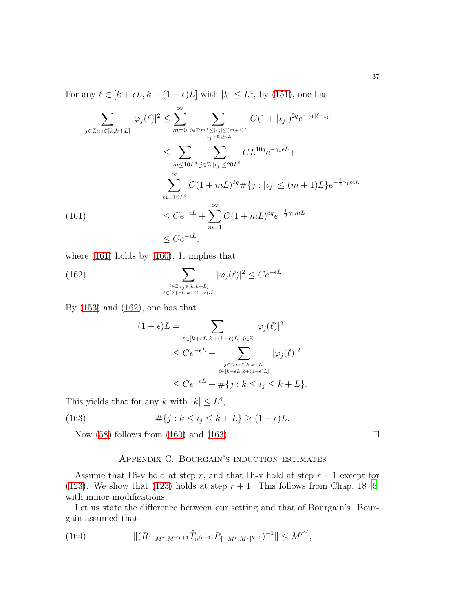For any  $\ell \in [k + \epsilon L, k + (1 - \epsilon)L]$  with  $|k| \le L^4$ , by [\(151\)](#page-35-5), one has

$$
\sum_{j \in \mathbb{Z}:i_j \notin [k,k+L]} |\varphi_j(\ell)|^2 \le \sum_{m=0}^{\infty} \sum_{j \in \mathbb{Z}:mL \le |i_j| \le (m+1)L} C(1+|i_j|)^{2q} e^{-\gamma_1 |\ell - i_j|}
$$
  

$$
\le \sum_{m \le 10L^4} \sum_{j \in \mathbb{Z}:|i_j| \le 20L^5} C L^{10q} e^{-\gamma_1 \epsilon L} +
$$
  

$$
\sum_{m=10L^4}^{\infty} C(1+ mL)^{2q} \# \{j : |i_j| \le (m+1)L\} e^{-\frac{1}{2}\gamma_1 mL}
$$
  
(161)  

$$
\le C e^{-\epsilon L} + \sum_{m=1}^{\infty} C(1+ mL)^{3q} e^{-\frac{1}{2}\gamma_1 mL}
$$
  

$$
\le C e^{-\epsilon L},
$$

<span id="page-36-1"></span>where [\(161\)](#page-36-1) holds by [\(160\)](#page-35-6). It implies that

(162) 
$$
\sum_{\substack{j\in\mathbb{Z}:i_j\notin[k,k+L] \\ \ell\in[k+\epsilon L,k+(1-\epsilon)L]}} |\varphi_j(\ell)|^2 \le Ce^{-\epsilon L}.
$$

By [\(153\)](#page-35-3) and [\(162\)](#page-36-2), one has that

<span id="page-36-2"></span>
$$
(1 - \epsilon)L = \sum_{\ell \in [k + \epsilon L, k + (1 - \epsilon)L], j \in \mathbb{Z}} |\varphi_j(\ell)|^2
$$
  
\n
$$
\leq C e^{-\epsilon L} + \sum_{\substack{j \in \mathbb{Z}: i_j \in [k, k + L] \\ \ell \in [k + \epsilon L, k + (1 - \epsilon)L]}} |\varphi_j(\ell)|^2
$$
  
\n
$$
\leq C e^{-\epsilon L} + \# \{ j : k \leq \iota_j \leq k + L \}.
$$

This yields that for any k with  $|k| \leq L^4$ ,

(163) 
$$
\# \{ j : k \le \iota_j \le k + L \} \ge (1 - \epsilon) L.
$$

<span id="page-36-0"></span>Now [\(58\)](#page-13-1) follows from [\(160\)](#page-35-6) and [\(163\)](#page-36-3).  $\Box$ 

#### <span id="page-36-3"></span>Appendix C. Bourgain's induction estimates

Assume that Hi-v hold at step r, and that Hi-v hold at step  $r + 1$  except for [\(123\)](#page-29-5). We show that [\(123\)](#page-29-5) holds at step  $r + 1$ . This follows from Chap. 18 [\[5](#page-38-10)] with minor modifications.

Let us state the difference between our setting and that of Bourgain's. Bourgain assumed that

(164) 
$$
\| (R_{[-M^r, M^r]^{b+1}} \tilde{T}_{u^{(r-1)}} R_{[-M^r, M^r]^{b+1}})^{-1} \| \leq M^{r^C},
$$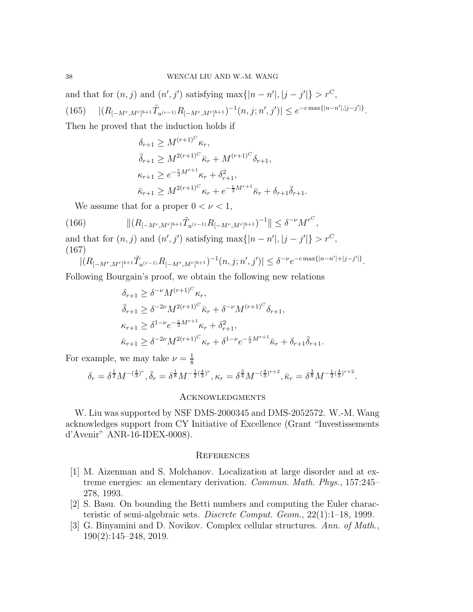and that for  $(n, j)$  and  $(n', j')$  satisfying  $\max\{|n - n'|, |j - j'|\} > r^C$ , (165)  $|(R_{[-M^r,M^r]^{b+1}}\tilde{T}_{u^{(r-1)}}R_{[-M^r,M^r]^{b+1}})^{-1}(n,j;n',j')| \leq e^{-c \max\{|n-n'|,|j-j'|\}}.$ Then he proved that the induction holds if

$$
\delta_{r+1} \ge M^{(r+1)^C} \kappa_r,
$$
  
\n
$$
\bar{\delta}_{r+1} \ge M^{2(r+1)^C} \bar{\kappa}_r + M^{(r+1)^C} \delta_{r+1},
$$
  
\n
$$
\kappa_{r+1} \ge e^{-\frac{c}{3}M^{r+1}} \kappa_r + \delta_{r+1}^2,
$$
  
\n
$$
\bar{\kappa}_{r+1} \ge M^{2(r+1)^C} \kappa_r + e^{-\frac{c}{3}M^{r+1}} \bar{\kappa}_r + \delta_{r+1} \bar{\delta}_{r+1}.
$$

We assume that for a proper  $0 < \nu < 1$ ,

(166) 
$$
\| (R_{[-M^r, M^r]^{b+1}} \tilde{T}_{u^{(r-1)}} R_{[-M^r, M^r]^{b+1}})^{-1} \| \leq \delta^{-\nu} M^{r^C},
$$

and that for  $(n, j)$  and  $(n', j')$  satisfying  $\max\{|n - n'|, |j - j'|\} > r^C$ , (167)

$$
|(R_{[-M^r, M^r]^{b+1}}\tilde{T}_{u^{(r-1)}}R_{[-M^r, M^r]^{b+1}})^{-1}(n, j; n', j')| \leq \delta^{-\nu} e^{-c \max\{|n-n'|+|j-j'|\}}.
$$

Following Bourgain's proof, we obtain the following new relations

$$
\delta_{r+1} \geq \delta^{-\nu} M^{(r+1)^C} \kappa_r,
$$
\n
$$
\bar{\delta}_{r+1} \geq \delta^{-2\nu} M^{2(r+1)^C} \bar{\kappa}_r + \delta^{-\nu} M^{(r+1)^C} \delta_{r+1},
$$
\n
$$
\kappa_{r+1} \geq \delta^{1-\nu} e^{-\frac{c}{3}M^{r+1}} \kappa_r + \delta_{r+1}^2,
$$
\n
$$
\bar{\kappa}_{r+1} \geq \delta^{-2\nu} M^{2(r+1)^C} \kappa_r + \delta^{1-\nu} e^{-\frac{c}{3}M^{r+1}} \bar{\kappa}_r + \delta_{r+1} \bar{\delta}_{r+1}.
$$

For example, we may take  $\nu = \frac{1}{8}$ 8

$$
\delta_r = \delta^{\frac{1}{2}} M^{-(\frac{4}{3})^r}, \bar{\delta}_r = \delta^{\frac{1}{8}} M^{-\frac{1}{2}(\frac{4}{3})^r}, \kappa_r = \delta^{\frac{3}{4}} M^{-(\frac{4}{3})^{r+2}}, \bar{\kappa}_r = \delta^{\frac{3}{8}} M^{-\frac{1}{2}(\frac{4}{3})^{r+2}}.
$$

#### Acknowledgments

W. Liu was supported by NSF DMS-2000345 and DMS-2052572. W.-M. Wang acknowledges support from CY Initiative of Excellence (Grant "Investissements d'Avenir" ANR-16-IDEX-0008).

#### **REFERENCES**

- <span id="page-37-0"></span>[1] M. Aizenman and S. Molchanov. Localization at large disorder and at extreme energies: an elementary derivation. Commun. Math. Phys., 157:245– 278, 1993.
- <span id="page-37-1"></span>[2] S. Basu. On bounding the Betti numbers and computing the Euler characteristic of semi-algebraic sets. Discrete Comput. Geom., 22(1):1–18, 1999.
- <span id="page-37-2"></span>[3] G. Binyamini and D. Novikov. Complex cellular structures. Ann. of Math., 190(2):145–248, 2019.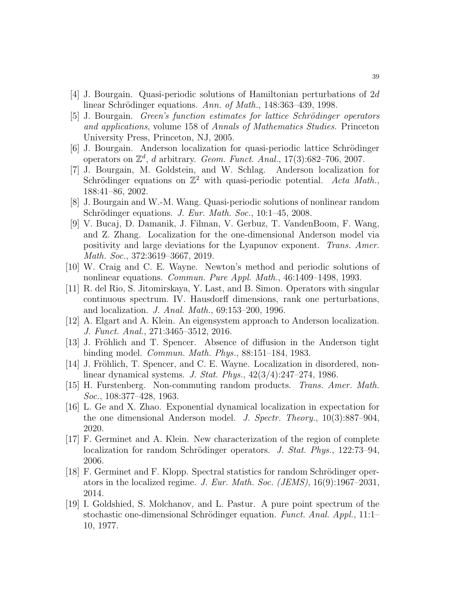- <span id="page-38-14"></span>[4] J. Bourgain. Quasi-periodic solutions of Hamiltonian perturbations of 2d linear Schrödinger equations. Ann. of Math.,  $148:363-439$ , 1998.
- <span id="page-38-10"></span>[5] J. Bourgain. *Green's function estimates for lattice Schrödinger operators* and applications, volume 158 of Annals of Mathematics Studies. Princeton University Press, Princeton, NJ, 2005.
- <span id="page-38-15"></span>[6] J. Bourgain. Anderson localization for quasi-periodic lattice Schrödinger operators on  $\mathbb{Z}^d$ , d arbitrary. Geom. Funct. Anal., 17(3):682-706, 2007.
- <span id="page-38-12"></span>[7] J. Bourgain, M. Goldstein, and W. Schlag. Anderson localization for Schrödinger equations on  $\mathbb{Z}^2$  with quasi-periodic potential. Acta Math., 188:41–86, 2002.
- <span id="page-38-5"></span>[8] J. Bourgain and W.-M. Wang. Quasi-periodic solutions of nonlinear random Schrödinger equations. J. Eur. Math. Soc.,  $10:1-45$ , 2008.
- <span id="page-38-2"></span>[9] V. Bucaj, D. Damanik, J. Filman, V. Gerbuz, T. VandenBoom, F. Wang, and Z. Zhang. Localization for the one-dimensional Anderson model via positivity and large deviations for the Lyapunov exponent. Trans. Amer. Math. Soc., 372:3619–3667, 2019.
- <span id="page-38-13"></span>[10] W. Craig and C. E. Wayne. Newton's method and periodic solutions of nonlinear equations. Commun. Pure Appl. Math., 46:1409–1498, 1993.
- <span id="page-38-8"></span>[11] R. del Rio, S. Jitomirskaya, Y. Last, and B. Simon. Operators with singular continuous spectrum. IV. Hausdorff dimensions, rank one perturbations, and localization. J. Anal. Math., 69:153–200, 1996.
- <span id="page-38-7"></span>[12] A. Elgart and A. Klein. An eigensystem approach to Anderson localization. J. Funct. Anal., 271:3465–3512, 2016.
- <span id="page-38-4"></span>[13] J. Fröhlich and T. Spencer. Absence of diffusion in the Anderson tight binding model. Commun. Math. Phys., 88:151–184, 1983.
- <span id="page-38-6"></span>[14] J. Fröhlich, T. Spencer, and C. E. Wayne. Localization in disordered, nonlinear dynamical systems. J. Stat. Phys., 42(3/4):247–274, 1986.
- <span id="page-38-0"></span>[15] H. Furstenberg. Non-commuting random products. Trans. Amer. Math. Soc., 108:377–428, 1963.
- <span id="page-38-3"></span>[16] L. Ge and X. Zhao. Exponential dynamical localization in expectation for the one dimensional Anderson model. J. Spectr. Theory.,  $10(3):887-904$ , 2020.
- <span id="page-38-9"></span>[17] F. Germinet and A. Klein. New characterization of the region of complete localization for random Schrödinger operators. J. Stat. Phys., 122:73-94, 2006.
- <span id="page-38-11"></span>[18] F. Germinet and F. Klopp. Spectral statistics for random Schrödinger operators in the localized regime. J. Eur. Math. Soc. (JEMS), 16(9):1967–2031, 2014.
- <span id="page-38-1"></span>[19] I. Goldshied, S. Molchanov, and L. Pastur. A pure point spectrum of the stochastic one-dimensional Schrödinger equation. Funct. Anal. Appl.,  $11:1-$ 10, 1977.